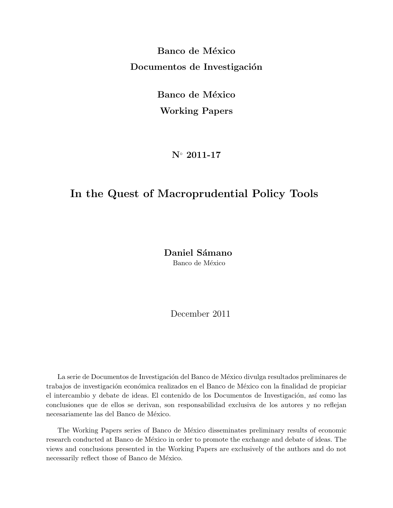**Banco de México Documentos de Investigación** 

> **Banco de México Working Papers**

> > **N***◦* **2011-17**

### **In the Quest of Macroprudential Policy Tools**

Daniel Sámano Banco de México

December 2011

La serie de Documentos de Investigación del Banco de México divulga resultados preliminares de trabajos de investigación económica realizados en el Banco de México con la finalidad de propiciar el intercambio y debate de ideas. El contenido de los Documentos de Investigación, así como las conclusiones que de ellos se derivan, son responsabilidad exclusiva de los autores y no reflejan necesariamente las del Banco de México.

The Working Papers series of Banco de México disseminates preliminary results of economic research conducted at Banco de México in order to promote the exchange and debate of ideas. The views and conclusions presented in the Working Papers are exclusively of the authors and do not  $\,$  necessarily reflect those of Banco de México.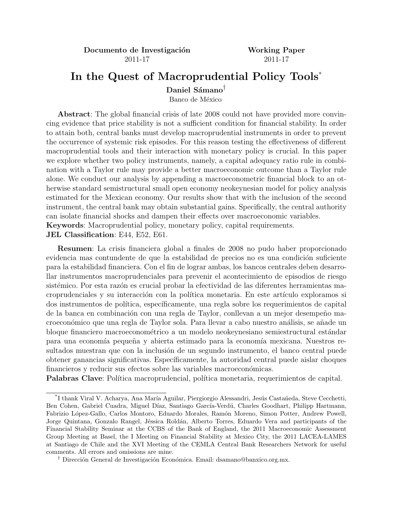**Documento de Investigación Working Paper** 2011-17 2011-17

# **In the Quest of Macroprudential Policy Tools**\*

Daniel Sámano<sup>†</sup>

Banco de México

**Abstract**: The global financial crisis of late 2008 could not have provided more convincing evidence that price stability is not a sufficient condition for financial stability. In order to attain both, central banks must develop macroprudential instruments in order to prevent the occurrence of systemic risk episodes. For this reason testing the effectiveness of different macroprudential tools and their interaction with monetary policy is crucial. In this paper we explore whether two policy instruments, namely, a capital adequacy ratio rule in combination with a Taylor rule may provide a better macroeconomic outcome than a Taylor rule alone. We conduct our analysis by appending a macroeconometric financial block to an otherwise standard semistructural small open economy neokeynesian model for policy analysis estimated for the Mexican economy. Our results show that with the inclusion of the second instrument, the central bank may obtain substantial gains. Specifically, the central authority can isolate financial shocks and dampen their effects over macroeconomic variables. **Keywords**: Macroprudential policy, monetary policy, capital requirements.

**JEL Classification**: E44, E52, E61.

**Resumen**: La crisis financiera global a finales de 2008 no pudo haber proporcionado evidencia mas contundente de que la estabilidad de precios no es una condición suficiente para la estabilidad financiera. Con el fin de lograr ambas, los bancos centrales deben desarrollar instrumentos macroprudenciales para prevenir el acontecimiento de episodios de riesgo sistémico. Por esta razón es crucial probar la efectividad de las diferentes herramientas macroprudenciales y su interacción con la política monetaria. En este artículo exploramos si dos instrumentos de política, específicamente, una regla sobre los requerimientos de capital de la banca en combinación con una regla de Taylor, conllevan a un mejor desempeño macroeconómico que una regla de Taylor sola. Para llevar a cabo nuestro análisis, se añade un bloque financiero macroeconométrico a un modelo neokeynesiano semiestructural estándar para una economía pequeña y abierta estimado para la economía mexicana. Nuestros resultados muestran que con la inclusión de un segundo instrumento, el banco central puede obtener ganancias significativas. Específicamente, la autoridad central puede aislar choques financieros y reducir sus efectos sobre las variables macroeconómicas.

**Palabras Clave**: Política macroprudencial, política monetaria, requerimientos de capital.

<sup>&</sup>lt;sup>\*</sup>I thank Viral V. Acharya, Ana María Aguilar, Piergiorgio Alessandri, Jesús Castañeda, Steve Cecchetti, Ben Cohen, Gabriel Cuadra, Miguel Díaz, Santiago García-Verdú, Charles Goodhart, Philipp Hartmann, Fabrizio López-Gallo, Carlos Montoro, Eduardo Morales, Ramón Moreno, Simon Potter, Andrew Powell, Jorge Quintana, Gonzalo Rangel, Jéssica Roldán, Alberto Torres, Eduardo Vera and participants of the Financial Stability Seminar at the CCBS of the Bank of England, the 2011 Macroeconomic Assessment Group Meeting at Basel, the I Meeting on Financial Stability at Mexico City, the 2011 LACEA-LAMES at Santiago de Chile and the XVI Meeting of the CEMLA Central Bank Researchers Network for useful comments. All errors and omissions are mine.

<sup>&</sup>lt;sup>†</sup> Dirección General de Investigación Económica. Email: dsamano@banxico.org.mx.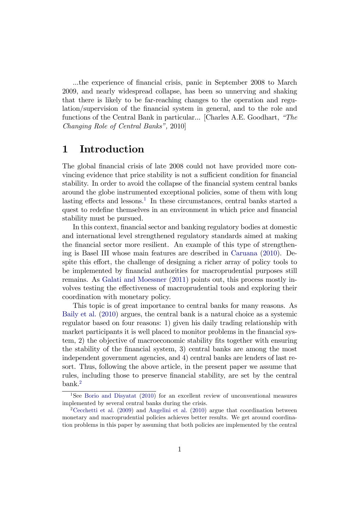...the experience of financial crisis, panic in September 2008 to March 2009, and nearly widespread collapse, has been so unnerving and shaking that there is likely to be far-reaching changes to the operation and regulation/supervision of the financial system in general, and to the role and functions of the Central Bank in particular... [Charles A.E. Goodhart,  $H$ ne Changing Role of Central Banks", 2010]

### 1 Introduction

The global financial crisis of late 2008 could not have provided more convincing evidence that price stability is not a sufficient condition for financial stability. In order to avoid the collapse of the financial system central banks around the globe instrumented exceptional policies, some of them with long lasting effects and lessons.<sup>[1](#page-2-0)</sup> In these circumstances, central banks started a quest to redefine themselves in an environment in which price and financial stability must be pursued.

In this context, financial sector and banking regulatory bodies at domestic and international level strengthened regulatory standards aimed at making the financial sector more resilient. An example of this type of strengthening is Basel III whose main features are described in [Caruana](#page-26-0) [\(2010\)](#page-26-0). Despite this effort, the challenge of designing a richer array of policy tools to be implemented by financial authorities for macroprudential purposes still remains. As [Galati and Moessner](#page-27-0) [\(2011\)](#page-27-0) points out, this process mostly involves testing the effectiveness of macroprudential tools and exploring their coordination with monetary policy.

This topic is of great importance to central banks for many reasons. As [Baily et al.](#page-26-1) [\(2010\)](#page-26-1) argues, the central bank is a natural choice as a systemic regulator based on four reasons: 1) given his daily trading relationship with market participants it is well placed to monitor problems in the financial system, 2) the objective of macroeconomic stability fits together with ensuring the stability of the Önancial system, 3) central banks are among the most independent government agencies, and 4) central banks are lenders of last resort. Thus, following the above article, in the present paper we assume that rules, including those to preserve financial stability, are set by the central bank.[2](#page-2-1)

<span id="page-2-0"></span><sup>1</sup>See [Borio and Disyatat](#page-26-2) [\(2010\)](#page-26-2) for an excellent review of unconventional measures implemented by several central banks during the crisis.

<span id="page-2-1"></span><sup>&</sup>lt;sup>2</sup>[Cecchetti et al.](#page-26-3) [\(2009\)](#page-26-3) and [Angelini et al.](#page-26-4) [\(2010\)](#page-26-4) argue that coordination between monetary and macroprudential policies achieves better results. We get around coordination problems in this paper by assuming that both policies are implemented by the central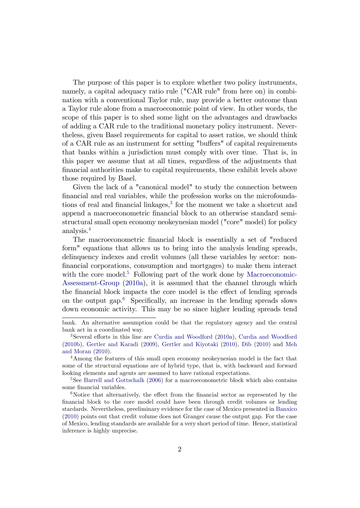The purpose of this paper is to explore whether two policy instruments, namely, a capital adequacy ratio rule ("CAR rule" from here on) in combination with a conventional Taylor rule, may provide a better outcome than a Taylor rule alone from a macroeconomic point of view. In other words, the scope of this paper is to shed some light on the advantages and drawbacks of adding a CAR rule to the traditional monetary policy instrument. Nevertheless, given Basel requirements for capital to asset ratios, we should think of a CAR rule as an instrument for setting "buffers" of capital requirements that banks within a jurisdiction must comply with over time. That is, in this paper we assume that at all times, regardless of the adjustments that Önancial authorities make to capital requirements, these exhibit levels above those required by Basel.

Given the lack of a "canonical model" to study the connection between Önancial and real variables, while the profession works on the microfoundations of real and financial linkages, $3$  for the moment we take a shortcut and append a macroeconometric financial block to an otherwise standard semistructural small open economy neokeynesian model ("core" model) for policy analysis.[4](#page-3-1)

The macroeconometric financial block is essentially a set of "reduced" form" equations that allows us to bring into the analysis lending spreads, delinquency indexes and credit volumes (all these variables by sector: non-Önancial corporations, consumption and mortgages) to make them interact with the core model.<sup>[5](#page-3-2)</sup> Following part of the work done by [Macroeconomic-](#page-27-1)[Assessment-Group](#page-27-1) [\(2010a\)](#page-27-1), it is assumed that the channel through which the financial block impacts the core model is the effect of lending spreads on the output gap. $6$  Specifically, an increase in the lending spreads slows down economic activity. This may be so since higher lending spreads tend

bank. An alternative assumption could be that the regulatory agency and the central bank act in a coordinated way.

<span id="page-3-0"></span><sup>&</sup>lt;sup>3</sup>Several efforts in this line are [Curdia and Woodford](#page-27-3)  $(2010a)$ , Curdia and Woodford [\(2010b\)](#page-27-3), [Gertler and Karadi](#page-27-4) [\(2009\)](#page-27-4), [Gertler and Kiyotaki](#page-27-5) [\(2010\)](#page-27-5), [Dib](#page-27-6) [\(2010\)](#page-27-6) and [Meh](#page-27-7) [and Moran](#page-27-7) [\(2010\)](#page-27-7).

<span id="page-3-1"></span><sup>4</sup>Among the features of this small open economy neokeynesian model is the fact that some of the structural equations are of hybrid type, that is, with backward and forward looking elements and agents are assumed to have rational expectations.

<span id="page-3-2"></span><sup>&</sup>lt;sup>5</sup>See [Barrell and Gottschalk](#page-26-5) [\(2006\)](#page-26-5) for a macroeconometric block which also contains some financial variables.

<span id="page-3-3"></span> $6$ Notice that alternatively, the effect from the financial sector as represented by the Önancial block to the core model could have been through credit volumes or lending stardards. Nevertheless, preeliminary evidence for the case of Mexico presented in [Banxico](#page-26-6) [\(2010\)](#page-26-6) points out that credit volume does not Granger cause the output gap. For the case of Mexico, lending standards are available for a very short period of time. Hence, statistical inference is highly unprecise.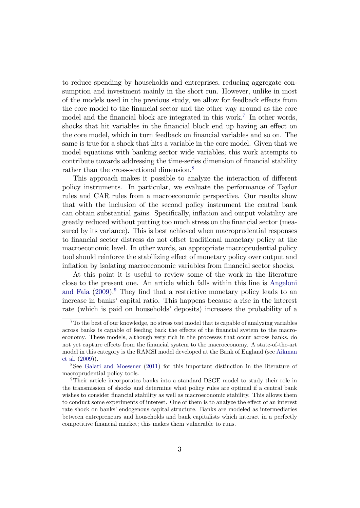to reduce spending by households and entreprises, reducing aggregate consumption and investment mainly in the short run. However, unlike in most of the models used in the previous study, we allow for feedback effects from the core model to the Önancial sector and the other way around as the core model and the financial block are integrated in this work.<sup>[7](#page-4-0)</sup> In other words, shocks that hit variables in the financial block end up having an effect on the core model, which in turn feedback on financial variables and so on. The same is true for a shock that hits a variable in the core model. Given that we model equations with banking sector wide variables, this work attempts to contribute towards addressing the time-series dimension of financial stability rather than the cross-sectional dimension.<sup>[8](#page-4-1)</sup>

This approach makes it possible to analyze the interaction of different policy instruments. In particular, we evaluate the performance of Taylor rules and CAR rules from a macroeconomic perspective. Our results show that with the inclusion of the second policy instrument the central bank can obtain substantial gains. Specifically, inflation and output volatility are greatly reduced without putting too much stress on the Önancial sector (measured by its variance). This is best achieved when macroprudential responses to financial sector distress do not offset traditional monetary policy at the macroeconomic level. In other words, an appropriate macroprudential policy tool should reinforce the stabilizing effect of monetary policy over output and inflation by isolating macroeconomic variables from financial sector shocks.

At this point it is useful to review some of the work in the literature close to the present one. An article which falls within this line is [Angeloni](#page-26-7) [and Faia](#page-26-7)  $(2009)$ . They find that a restrictive monetary policy leads to an increase in banks' capital ratio. This happens because a rise in the interest rate (which is paid on households' deposits) increases the probability of a

<span id="page-4-0"></span><sup>7</sup>To the best of our knowledge, no stress test model that is capable of analyzing variables across banks is capable of feeding back the effects of the financial system to the macroeconomy. These models, although very rich in the processes that occur across banks, do not yet capture effects from the financial system to the macroeconomy. A state-of-the-art model in this category is the RAMSI model developed at the Bank of England (see [Aikman](#page-26-8) [et al.](#page-26-8) [\(2009\)](#page-26-8)).

<span id="page-4-1"></span><sup>8</sup>See [Galati and Moessner](#page-27-0) [\(2011\)](#page-27-0) for this important distinction in the literature of macroprudential policy tools.

<span id="page-4-2"></span><sup>&</sup>lt;sup>9</sup>Their article incorporates banks into a standard DSGE model to study their role in the transmission of shocks and determine what policy rules are optimal if a central bank wishes to consider financial stability as well as macroeconomic stability. This allows them to conduct some experiments of interest. One of them is to analyze the effect of an interest rate shock on banks' endogenous capital structure. Banks are modeled as intermediaries between entrepreneurs and households and bank capitalists which interact in a perfectly competitive financial market; this makes them vulnerable to runs.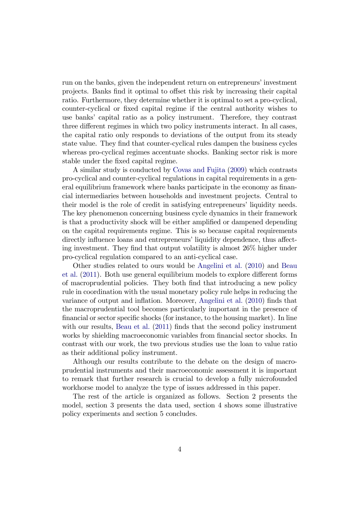run on the banks, given the independent return on entrepreneurs' investment projects. Banks find it optimal to offset this risk by increasing their capital ratio. Furthermore, they determine whether it is optimal to set a pro-cyclical, counter-cyclical or Öxed capital regime if the central authority wishes to use banks' capital ratio as a policy instrument. Therefore, they contrast three different regimes in which two policy instruments interact. In all cases, the capital ratio only responds to deviations of the output from its steady state value. They Önd that counter-cyclical rules dampen the business cycles whereas pro-cyclical regimes accentuate shocks. Banking sector risk is more stable under the Öxed capital regime.

A similar study is conducted by [Covas and Fujita](#page-26-9) [\(2009\)](#page-26-9) which contrasts pro-cyclical and counter-cyclical regulations in capital requirements in a general equilibrium framework where banks participate in the economy as financial intermediaries between households and investment projects. Central to their model is the role of credit in satisfying entrepreneurs' liquidity needs. The key phenomenon concerning business cycle dynamics in their framework is that a productivity shock will be either amplified or dampened depending on the capital requirements regime. This is so because capital requirements directly influence loans and entrepreneurs' liquidity dependence, thus affecting investment. They find that output volatility is almost  $26\%$  higher under pro-cyclical regulation compared to an anti-cyclical case.

Other studies related to ours would be [Angelini et al.](#page-26-4) [\(2010\)](#page-26-4) and [Beau](#page-26-10) [et al.](#page-26-10)  $(2011)$ . Both use general equilibrium models to explore different forms of macroprudential policies. They both Önd that introducing a new policy rule in coordination with the usual monetary policy rule helps in reducing the variance of output and inflation. Moreover, [Angelini et al.](#page-26-4) [\(2010\)](#page-26-4) finds that the macroprudential tool becomes particularly important in the presence of financial or sector specific shocks (for instance, to the housing market). In line with our results, [Beau et al.](#page-26-10)  $(2011)$  finds that the second policy instrument works by shielding macroeconomic variables from financial sector shocks. In contrast with our work, the two previous studies use the loan to value ratio as their additional policy instrument.

Although our results contribute to the debate on the design of macroprudential instruments and their macroeconomic assessment it is important to remark that further research is crucial to develop a fully microfounded workhorse model to analyze the type of issues addressed in this paper.

The rest of the article is organized as follows. Section 2 presents the model, section 3 presents the data used, section 4 shows some illustrative policy experiments and section 5 concludes.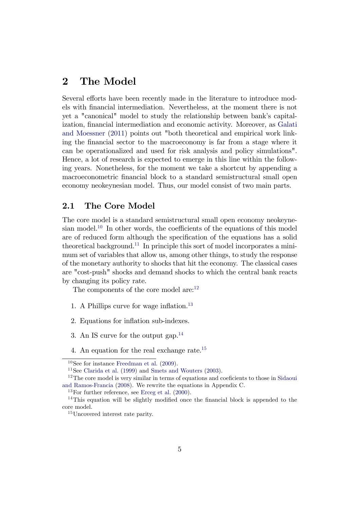## 2 The Model

Several efforts have been recently made in the literature to introduce models with Önancial intermediation. Nevertheless, at the moment there is not yet a "canonical" model to study the relationship between bank's capital-ization, financial intermediation and economic activity. Moreover, as [Galati](#page-27-0) [and Moessner](#page-27-0) [\(2011\)](#page-27-0) points out "both theoretical and empirical work linking the Önancial sector to the macroeconomy is far from a stage where it can be operationalized and used for risk analysis and policy simulations". Hence, a lot of research is expected to emerge in this line within the following years. Nonetheless, for the moment we take a shortcut by appending a macroeconometric Önancial block to a standard semistructural small open economy neokeynesian model. Thus, our model consist of two main parts.

#### 2.1 The Core Model

The core model is a standard semistructural small open economy neokeyne-sian model.<sup>[10](#page-6-0)</sup> In other words, the coefficients of the equations of this model are of reduced form although the specification of the equations has a solid theoretical background.<sup>[11](#page-6-1)</sup> In principle this sort of model incorporates a minimum set of variables that allow us, among other things, to study the response of the monetary authority to shocks that hit the economy. The classical cases are "cost-push" shocks and demand shocks to which the central bank reacts by changing its policy rate.

The components of the core model  $are:$ <sup>[12](#page-6-2)</sup>

- 1. A Phillips curve for wage inflation.<sup>[13](#page-6-3)</sup>
- 2. Equations for inflation sub-indexes.
- 3. An IS curve for the output gap.<sup>[14](#page-6-4)</sup>
- 4. An equation for the real exchange rate.<sup>[15](#page-6-5)</sup>

<span id="page-6-0"></span> $10$ See for instance [Freedman et al.](#page-27-8) [\(2009\)](#page-27-8).

<span id="page-6-2"></span><span id="page-6-1"></span><sup>11</sup>See [Clarida et al.](#page-26-11) [\(1999\)](#page-26-11) and [Smets and Wouters](#page-28-0) [\(2003\)](#page-28-0).

 $12$ The core model is very similar in terms of equations and coeficients to those in [Sidaoui](#page-27-9) [and Ramos-Francia](#page-27-9) [\(2008\)](#page-27-9). We rewrite the equations in Appendix C.

<span id="page-6-4"></span><span id="page-6-3"></span> $13$ For further reference, see [Erceg et al.](#page-27-10)  $(2000)$ .

<sup>&</sup>lt;sup>14</sup>This equation will be slightly modified once the financial block is appended to the core model.

<span id="page-6-5"></span><sup>15</sup>Uncovered interest rate parity.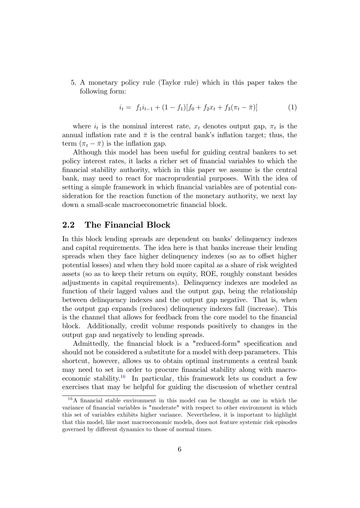5. A monetary policy rule (Taylor rule) which in this paper takes the following form:

<span id="page-7-1"></span>
$$
i_t = f_1 i_{t-1} + (1 - f_1)[f_0 + f_2 x_t + f_3(\pi_t - \bar{\pi})]
$$
\n(1)

where  $i_t$  is the nominal interest rate,  $x_t$  denotes output gap,  $\pi_t$  is the annual inflation rate and  $\bar{\pi}$  is the central bank's inflation target; thus, the term  $(\pi_t - \overline{\pi})$  is the inflation gap.

Although this model has been useful for guiding central bankers to set policy interest rates, it lacks a richer set of financial variables to which the Önancial stability authority, which in this paper we assume is the central bank, may need to react for macroprudential purposes. With the idea of setting a simple framework in which financial variables are of potential consideration for the reaction function of the monetary authority, we next lay down a small-scale macroeconometric financial block.

### 2.2 The Financial Block

In this block lending spreads are dependent on banks' delinquency indexes and capital requirements. The idea here is that banks increase their lending spreads when they face higher delinquency indexes (so as to offset higher potential losses) and when they hold more capital as a share of risk weighted assets (so as to keep their return on equity, ROE, roughly constant besides adjustments in capital requirements). Delinquency indexes are modeled as function of their lagged values and the output gap, being the relationship between delinquency indexes and the output gap negative. That is, when the output gap expands (reduces) delinquency indexes fall (increase). This is the channel that allows for feedback from the core model to the financial block. Additionally, credit volume responds positively to changes in the output gap and negatively to lending spreads.

Admittedly, the financial block is a "reduced-form" specification and should not be considered a substitute for a model with deep parameters. This shortcut, however, allows us to obtain optimal instruments a central bank may need to set in order to procure financial stability along with macro-economic stability.<sup>[16](#page-7-0)</sup> In particular, this framework lets us conduct a few exercises that may be helpful for guiding the discussion of whether central

<span id="page-7-0"></span> $16A$  financial stable environment in this model can be thought as one in which the variance of financial variables is "moderate" with respect to other environment in which this set of variables exhibits higher variance. Nevertheless, it is important to highlight that this model, like most macroeconomic models, does not feature systemic risk episodes governed by different dynamics to those of normal times.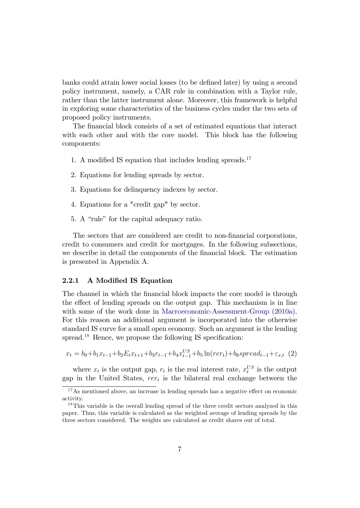banks could attain lower social losses (to be defined later) by using a second policy instrument, namely, a CAR rule in combination with a Taylor rule, rather than the latter instrument alone. Moreover, this framework is helpful in exploring some characteristics of the business cycles under the two sets of proposed policy instruments.

The financial block consists of a set of estimated equations that interact with each other and with the core model. This block has the following components:

- 1. A modified IS equation that includes lending spreads.<sup>[17](#page-8-0)</sup>
- 2. Equations for lending spreads by sector.
- 3. Equations for delinquency indexes by sector.
- 4. Equations for a "credit gap" by sector.
- 5. A "rule" for the capital adequacy ratio.

The sectors that are considered are credit to non-financial corporations, credit to consumers and credit for mortgages. In the following subsections, we describe in detail the components of the financial block. The estimation is presented in Appendix A.

#### 2.2.1 A Modified IS Equation

The channel in which the financial block impacts the core model is through the effect of lending spreads on the output gap. This mechanism is in line with some of the work done in [Macroeconomic-Assessment-Group](#page-27-1) [\(2010a\)](#page-27-1). For this reason an additional argument is incorporated into the otherwise standard IS curve for a small open economy. Such an argument is the lending spread.<sup>[18](#page-8-1)</sup> Hence, we propose the following IS specification:

<span id="page-8-2"></span>x<sup>t</sup> = b0+b1x<sup>t</sup><sup>1</sup>+b2Etx<sup>t</sup>+1+b3r<sup>t</sup><sup>1</sup>+b4x US <sup>t</sup><sup>1</sup>+b<sup>5</sup> ln(rert)+b6spread<sup>t</sup><sup>1</sup>+"x;t (2)

where  $x_t$  is the output gap,  $r_t$  is the real interest rate,  $x_t^{US}$  is the output gap in the United States,  $rer_t$  is the bilateral real exchange between the

<span id="page-8-0"></span> $17$ As mentioned above, an increase in lending spreads has a negative effect on economic activity.

<span id="page-8-1"></span><sup>&</sup>lt;sup>18</sup>This variable is the overall lending spread of the three credit sectors analyzed in this paper. Thus, this variable is calculated as the weighted average of lending spreads by the three sectors considered. The weights are calculated as credit shares out of total.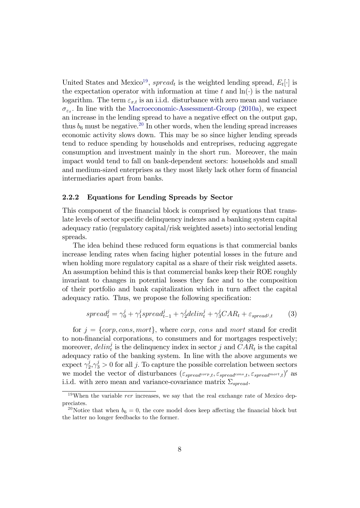United States and Mexico<sup>[19](#page-9-0)</sup>, spread<sub>t</sub> is the weighted lending spread,  $E_t[\cdot]$  is the expectation operator with information at time  $t$  and  $\ln(\cdot)$  is the natural logarithm. The term  $\varepsilon_{x,t}$  is an i.i.d. disturbance with zero mean and variance  $\sigma_{\varepsilon_x}$ . In line with the [Macroeconomic-Assessment-Group](#page-27-1) [\(2010a\)](#page-27-1), we expect an increase in the lending spread to have a negative effect on the output gap, thus  $b_6$  must be negative.<sup>[20](#page-9-1)</sup> In other words, when the lending spread increases economic activity slows down. This may be so since higher lending spreads tend to reduce spending by households and entreprises, reducing aggregate consumption and investment mainly in the short run. Moreover, the main impact would tend to fall on bank-dependent sectors: households and small and medium-sized enterprises as they most likely lack other form of financial intermediaries apart from banks.

#### 2.2.2 Equations for Lending Spreads by Sector

This component of the financial block is comprised by equations that translate levels of sector specific delinquency indexes and a banking system capital adequacy ratio (regulatory capital/risk weighted assets) into sectorial lending spreads.

The idea behind these reduced form equations is that commercial banks increase lending rates when facing higher potential losses in the future and when holding more regulatory capital as a share of their risk weighted assets. An assumption behind this is that commercial banks keep their ROE roughly invariant to changes in potential losses they face and to the composition of their portfolio and bank capitalization which in turn affect the capital adequacy ratio. Thus, we propose the following specification:

<span id="page-9-2"></span>
$$
spread_t^j = \gamma_0^j + \gamma_1^j spread_{t-1}^j + \gamma_2^j delin_t^j + \gamma_3^j CAR_t + \varepsilon_{spread^j, t} \tag{3}
$$

for  $j = \{corp, cons, mort\}$ , where corp, cons and mort stand for credit to non-Önancial corporations, to consumers and for mortgages respectively; moreover,  $delin_t^j$  is the delinquency index in sector j and  $CAR_t$  is the capital adequacy ratio of the banking system. In line with the above arguments we  $\text{expect }\gamma_2^j$  $2j/2, \gamma_3^j > 0$  for all j. To capture the possible correlation between sectors we model the vector of disturbances  $(\varepsilon_{spread^{corp},t}, \varepsilon_{spread^{cons},t}, \varepsilon_{spread^{mort},t})'$  as i.i.d. with zero mean and variance-covariance matrix  $\Sigma_{spread}$ .

<span id="page-9-0"></span> $19$ When the variable *rer* increases, we say that the real exchange rate of Mexico deppreciates.

<span id="page-9-1"></span><sup>&</sup>lt;sup>20</sup>Notice that when  $b_6 = 0$ , the core model does keep affecting the financial block but the latter no longer feedbacks to the former.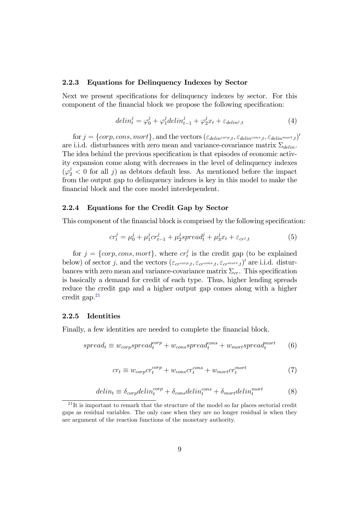#### 2.2.3 Equations for Delinquency Indexes by Sector

Next we present specifications for delinquency indexes by sector. For this component of the financial block we propose the following specification:

<span id="page-10-1"></span>
$$
delin_t^j = \varphi_0^j + \varphi_1^j delin_{t-1}^j + \varphi_2^j x_t + \varepsilon_{delin^j, t}
$$
\n
$$
\tag{4}
$$

for  $j = \{corp, cons, mort\}$ , and the vectors  $(\varepsilon_{delin^{corp},t}, \varepsilon_{delin^{const},t}, \varepsilon_{delin^{mort},t})'$ are i.i.d. disturbances with zero mean and variance-covariance matrix  $\Sigma_{delin}$ . The idea behind the previous specification is that episodes of economic activity expansion come along with decreases in the level of delinquency indexes  $(\varphi_2^j < 0$  for all j) as debtors default less. As mentioned before the impact from the output gap to delinquency indexes is key in this model to make the financial block and the core model interdependent.

#### 2.2.4 Equations for the Credit Gap by Sector

This component of the financial block is comprised by the following specification:

<span id="page-10-2"></span>
$$
cr_t^j = \mu_0^j + \mu_1^j cr_{t-1}^j + \mu_2^j spread_t^j + \mu_3^j x_t + \varepsilon_{cr^j,t}
$$
 (5)

for  $j = \{corp, cons, mort\}$ , where  $cr_t^j$  $t<sub>t</sub><sup>j</sup>$  is the credit gap (to be explained below) of sector j, and the vectors  $(\varepsilon_{c r^{corp},t}, \varepsilon_{c r^{cons},t}, \varepsilon_{c r^{mort},t})'$  are i.i.d. disturbances with zero mean and variance-covariance matrix  $\Sigma_{cr}$ . This specification is basically a demand for credit of each type. Thus, higher lending spreads reduce the credit gap and a higher output gap comes along with a higher credit gap. $21$ 

#### 2.2.5 Identities

Finally, a few identities are needed to complete the financial block.

$$
spread_t \equiv w_{corp} spread_t^{corp} + w_{cons} spread_t^{cons} + w_{mort} spread_t^{mot}
$$
 (6)

$$
cr_t \equiv w_{corp}cr_t^{corp} + w_{cons}cr_t^{cons} + w_{mort}cr_t^{mort}
$$
\n
$$
\tag{7}
$$

$$
delin_t \equiv \delta_{corp}delin_t^{corp} + \delta_{cons}delin_t^{cons} + \delta_{mort}delin_t^{mot}
$$
 (8)

<span id="page-10-0"></span><sup>&</sup>lt;sup>21</sup>It is important to remark that the structure of the model so far places sectorial credit gaps as residual variables. The only case when they are no longer residual is when they are argument of the reaction functions of the monetary authority.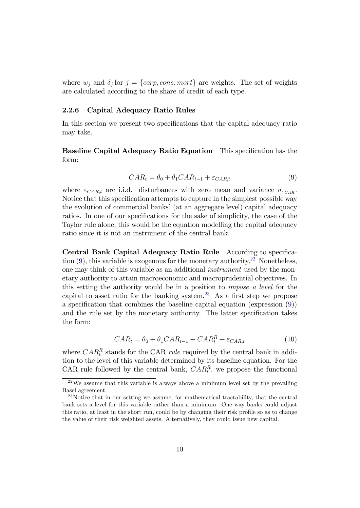where  $w_j$  and  $\delta_j$  for  $j = \{corp, cons, mort\}$  are weights. The set of weights are calculated according to the share of credit of each type.

#### 2.2.6 Capital Adequacy Ratio Rules

In this section we present two specifications that the capital adequacy ratio may take.

<span id="page-11-0"></span>Baseline Capital Adequacy Ratio Equation This specification has the form:

$$
CAR_t = \theta_0 + \theta_1 CAR_{t-1} + \varepsilon_{CAR,t} \tag{9}
$$

where  $\varepsilon_{CAR,t}$  are i.i.d. disturbances with zero mean and variance  $\sigma_{\varepsilon_{CAR}}$ . Notice that this specification attempts to capture in the simplest possible way the evolution of commercial banks' (at an aggregate level) capital adequacy ratios. In one of our specifications for the sake of simplicity, the case of the Taylor rule alone, this would be the equation modelling the capital adequacy ratio since it is not an instrument of the central bank.

Central Bank Capital Adequacy Ratio Rule According to specification  $(9)$ , this variable is exogenous for the monetary authority.<sup>[22](#page-11-1)</sup> Nonetheless, one may think of this variable as an additional instrument used by the monetary authority to attain macroeconomic and macroprudential objectives. In this setting the authority would be in a position to impose a level for the capital to asset ratio for the banking system.<sup>[23](#page-11-2)</sup> As a first step we propose a specification that combines the baseline capital equation (expression  $(9)$ ) and the rule set by the monetary authority. The latter specification takes the form:

$$
CAR_t = \theta_0 + \theta_1 CAR_{t-1} + CAR_t^R + \varepsilon_{CAR,t} \tag{10}
$$

<span id="page-11-3"></span>where  $CAR_t^R$  stands for the CAR *rule* required by the central bank in addition to the level of this variable determined by its baseline equation. For the CAR rule followed by the central bank,  $CAR_t^R$ , we propose the functional

<span id="page-11-1"></span> $22\text{We assume that this variable is always above a minimum level set by the prevailing.}$ Basel agreement.

<span id="page-11-2"></span><sup>&</sup>lt;sup>23</sup>Notice that in our setting we assume, for mathematical tractability, that the central bank sets a level for this variable rather than a minimum. One way banks could adjust this ratio, at least in the short run, could be by changing their risk profile so as to change the value of their risk weighted assets. Alternatively, they could issue new capital.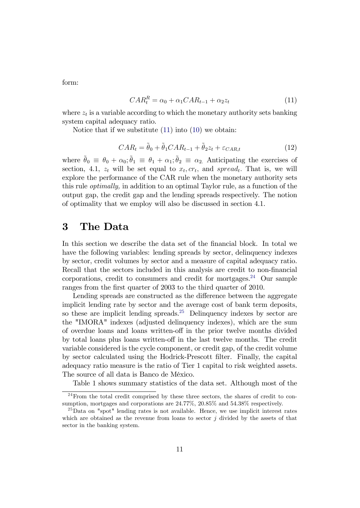<span id="page-12-0"></span>form:

$$
CAR_t^R = \alpha_0 + \alpha_1 CAR_{t-1} + \alpha_2 z_t \tag{11}
$$

where  $z_t$  is a variable according to which the monetary authority sets banking system capital adequacy ratio.

<span id="page-12-3"></span>Notice that if we substitute [\(11\)](#page-12-0) into [\(10\)](#page-11-3) we obtain:

$$
CAR_t = \tilde{\theta}_0 + \tilde{\theta}_1 CAR_{t-1} + \tilde{\theta}_2 z_t + \varepsilon_{CAR,t}
$$
\n(12)

where  $\tilde{\theta}_0 \equiv \theta_0 + \alpha_0$ ;  $\tilde{\theta}_1 \equiv \theta_1 + \alpha_1$ ;  $\tilde{\theta}_2 \equiv \alpha_2$ . Anticipating the exercises of section, 4.1,  $z_t$  will be set equal to  $x_t, cr_t$ , and spread<sub>t</sub>. That is, we will explore the performance of the CAR rule when the monetary authority sets this rule optimally, in addition to an optimal Taylor rule, as a function of the output gap, the credit gap and the lending spreads respectively. The notion of optimality that we employ will also be discussed in section 4.1.

### 3 The Data

In this section we describe the data set of the financial block. In total we have the following variables: lending spreads by sector, delinquency indexes by sector, credit volumes by sector and a measure of capital adequacy ratio. Recall that the sectors included in this analysis are credit to non-financial corporations, credit to consumers and credit for mortgages.<sup>[24](#page-12-1)</sup> Our sample ranges from the first quarter of 2003 to the third quarter of 2010.

Lending spreads are constructed as the difference between the aggregate implicit lending rate by sector and the average cost of bank term deposits, so these are implicit lending spreads.<sup>[25](#page-12-2)</sup> Delinquency indexes by sector are the "IMORA" indexes (adjusted delinquency indexes), which are the sum of overdue loans and loans written-off in the prior twelve months divided by total loans plus loans written-off in the last twelve months. The credit variable considered is the cycle component, or credit gap, of the credit volume by sector calculated using the Hodrick-Prescott Ölter. Finally, the capital adequacy ratio measure is the ratio of Tier 1 capital to risk weighted assets. The source of all data is Banco de MÈxico.

<span id="page-12-1"></span>Table 1 shows summary statistics of the data set. Although most of the

 $^{24}$ From the total credit comprised by these three sectors, the shares of credit to consumption, mortgages and corporations are 24.77%, 20.85% and 54.38% respectively.

<span id="page-12-2"></span><sup>25</sup>Data on "spot" lending rates is not available. Hence, we use implicit interest rates which are obtained as the revenue from loans to sector  $j$  divided by the assets of that sector in the banking system.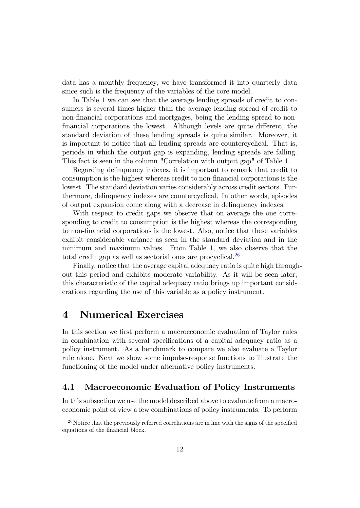data has a monthly frequency, we have transformed it into quarterly data since such is the frequency of the variables of the core model.

In Table 1 we can see that the average lending spreads of credit to consumers is several times higher than the average lending spread of credit to non-financial corporations and mortgages, being the lending spread to nonfinancial corporations the lowest. Although levels are quite different, the standard deviation of these lending spreads is quite similar. Moreover, it is important to notice that all lending spreads are countercyclical. That is, periods in which the output gap is expanding, lending spreads are falling. This fact is seen in the column "Correlation with output gap" of Table 1.

Regarding delinquency indexes, it is important to remark that credit to consumption is the highest whereas credit to non-Önancial corporations is the lowest. The standard deviation varies considerably across credit sectors. Furthermore, delinquency indexes are countercyclical. In other words, episodes of output expansion come along with a decrease in delinquency indexes.

With respect to credit gaps we observe that on average the one corresponding to credit to consumption is the highest whereas the corresponding to non-Önancial corporations is the lowest. Also, notice that these variables exhibit considerable variance as seen in the standard deviation and in the minimum and maximum values. From Table 1, we also observe that the total credit gap as well as sectorial ones are procyclical.[26](#page-13-0)

Finally, notice that the average capital adequacy ratio is quite high throughout this period and exhibits moderate variability. As it will be seen later, this characteristic of the capital adequacy ratio brings up important considerations regarding the use of this variable as a policy instrument.

## 4 Numerical Exercises

In this section we first perform a macroeconomic evaluation of Taylor rules in combination with several specifications of a capital adequacy ratio as a policy instrument. As a benchmark to compare we also evaluate a Taylor rule alone. Next we show some impulse-response functions to illustrate the functioning of the model under alternative policy instruments.

### 4.1 Macroeconomic Evaluation of Policy Instruments

In this subsection we use the model described above to evaluate from a macroeconomic point of view a few combinations of policy instruments. To perform

<span id="page-13-0"></span> $^{26}$ Notice that the previously referred correlations are in line with the signs of the specified equations of the financial block.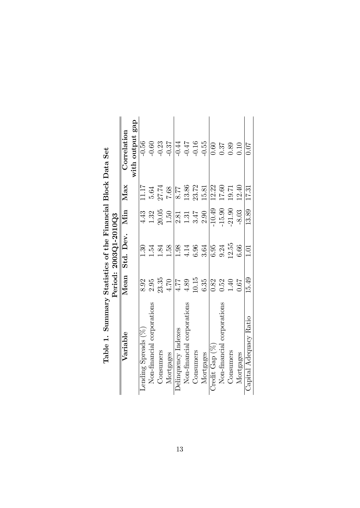| where it were the protection of the correct of the contribution of the complete of the contribution of the contribution of the contribution of the contribution of the contribution of the contribution of the contribution of |          | Period: 2003Q1-2010Q3 |          |       |                 |
|--------------------------------------------------------------------------------------------------------------------------------------------------------------------------------------------------------------------------------|----------|-----------------------|----------|-------|-----------------|
| Variable                                                                                                                                                                                                                       | Mean     | Std. Dev. Min         |          | Max   | Correlation     |
|                                                                                                                                                                                                                                |          |                       |          |       | with output gap |
| Lending Spreads (%)                                                                                                                                                                                                            | 8.92     | $\frac{30}{2}$        | 4.43     | 11.17 | $-0.56$         |
| Non-financial corporations                                                                                                                                                                                                     | 2.95     | $-54$                 | 1.32     | 5.64  | $-0.60$         |
| Consumers                                                                                                                                                                                                                      | 23.35    | 1.84                  | 20.05    | 27.74 | $-0.23$         |
| Mortgages                                                                                                                                                                                                                      | 4.70     | 1.58                  | 0.50     | 7.68  | $-0.37$         |
| Delinquency Indexes                                                                                                                                                                                                            | 4.77     | 1.98                  | 2.81     | 8.77  | $-0.44$         |
| Non-financial corporations                                                                                                                                                                                                     | 4.89     | 4.14                  | 1.31     | 13.86 | $-0.47$         |
| Consumers                                                                                                                                                                                                                      | 10.15    | 6.96                  | 3.47     | 23.72 | $-0.16$         |
| Mortgages                                                                                                                                                                                                                      | 6.35     | 3.64                  | 2.90     | 15.81 | $-0.55$         |
| Credit Gap $(\%)$                                                                                                                                                                                                              | 0.82     | 6.95                  | $-10.49$ | 12.22 | 0.60            |
| Non-financial corporations                                                                                                                                                                                                     | 0.52     | 9.24                  | $-15.90$ | 17.60 | 0.37            |
| Consumers                                                                                                                                                                                                                      | $1.40\,$ | 12.55                 | $-21.90$ | 19.71 | 0.89            |
| Mortgages                                                                                                                                                                                                                      | 79.0     | 6.66                  | $-8.03$  | 12.40 | 0.10            |
| Capital Adequacy Ratio                                                                                                                                                                                                         | 15.49    | 1.01                  | 13.89    | 17.31 | 0.07            |

Table 1. Summary Statistics of the Financial Block Data Set Table 1. Summary Statistics of the Financial Block Data Set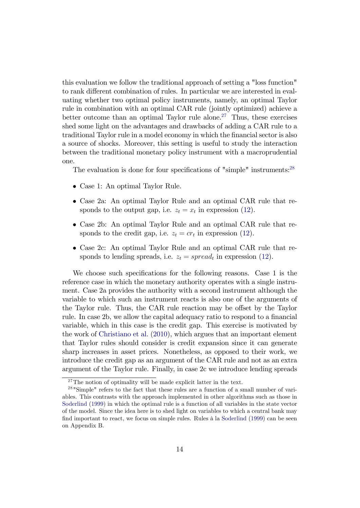this evaluation we follow the traditional approach of setting a "loss function" to rank different combination of rules. In particular we are interested in evaluating whether two optimal policy instruments, namely, an optimal Taylor rule in combination with an optimal CAR rule (jointly optimized) achieve a better outcome than an optimal Taylor rule alone.<sup>[27](#page-15-0)</sup> Thus, these exercises shed some light on the advantages and drawbacks of adding a CAR rule to a traditional Taylor rule in a model economy in which the financial sector is also a source of shocks. Moreover, this setting is useful to study the interaction between the traditional monetary policy instrument with a macroprudential one.

The evaluation is done for four specifications of "simple" instruments:<sup>[28](#page-15-1)</sup>

- Case 1: An optimal Taylor Rule.
- Case 2a: An optimal Taylor Rule and an optimal CAR rule that responds to the output gap, i.e.  $z_t = x_t$  in expression [\(12\)](#page-12-3).
- Case 2b: An optimal Taylor Rule and an optimal CAR rule that responds to the credit gap, i.e.  $z_t = cr_t$  in expression [\(12\)](#page-12-3).
- Case 2c: An optimal Taylor Rule and an optimal CAR rule that responds to lending spreads, i.e.  $z_t = spread_t$  in expression [\(12\)](#page-12-3).

We choose such specifications for the following reasons. Case 1 is the reference case in which the monetary authority operates with a single instrument. Case 2a provides the authority with a second instrument although the variable to which such an instrument reacts is also one of the arguments of the Taylor rule. Thus, the CAR rule reaction may be offset by the Taylor rule. In case 2b, we allow the capital adequacy ratio to respond to a financial variable, which in this case is the credit gap. This exercise is motivated by the work of [Christiano et al.](#page-26-12) [\(2010\)](#page-26-12), which argues that an important element that Taylor rules should consider is credit expansion since it can generate sharp increases in asset prices. Nonetheless, as opposed to their work, we introduce the credit gap as an argument of the CAR rule and not as an extra argument of the Taylor rule. Finally, in case 2c we introduce lending spreads

<span id="page-15-1"></span><span id="page-15-0"></span><sup>&</sup>lt;sup>27</sup>The notion of optimality will be made explicit latter in the text.

<sup>28</sup> "Simple" refers to the fact that these rules are a function of a small number of variables. This contrasts with the approach implemented in other algorithms such as those in [Soderlind](#page-28-1) [\(1999\)](#page-28-1) in which the optimal rule is a function of all variables in the state vector of the model. Since the idea here is to shed light on variables to which a central bank may find important to react, we focus on simple rules. Rules à la [Soderlind](#page-28-1) [\(1999\)](#page-28-1) can be seen on Appendix B.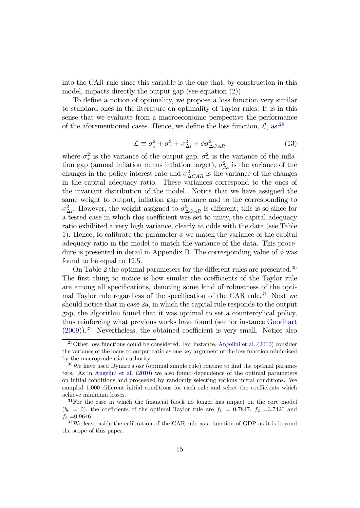into the CAR rule since this variable is the one that, by construction in this model, impacts directly the output gap (see equation [\(2\)](#page-8-2)).

To define a notion of optimality, we propose a loss function very similar to standard ones in the literature on optimality of Taylor rules. It is in this sense that we evaluate from a macroeconomic perspective the performance of the aforementioned cases. Hence, we define the loss function,  $\mathcal{L}$ , as:<sup>[29](#page-16-0)</sup>

$$
\mathcal{L} \equiv \sigma_x^2 + \sigma_\pi^2 + \sigma_{\Delta i}^2 + \phi \sigma_{\Delta CAR}^2 \tag{13}
$$

<span id="page-16-4"></span>where  $\sigma_x^2$  is the variance of the output gap,  $\sigma_{\pi}^2$  is the variance of the inflation gap (annual inflation minus inflation target),  $\sigma_{\Delta i}^2$  is the variance of the changes in the policy interest rate and  $\sigma_{\Delta CAR}^2$  is the variance of the changes in the capital adequacy ratio. These variances correspond to the ones of the invariant distribution of the model. Notice that we have assigned the same weight to output, inflation gap variance and to the corresponding to  $\sigma_{\Delta i}^2$ . However, the weight assigned to  $\sigma_{\Delta CAR}^2$  is different; this is so since for a tested case in which this coefficient was set to unity, the capital adequacy ratio exhibited a very high variance, clearly at odds with the data (see Table 1). Hence, to calibrate the parameter  $\phi$  we match the variance of the capital adequacy ratio in the model to match the variance of the data. This procedure is presented in detail in Appendix B. The corresponding value of  $\phi$  was found to be equal to 12.5.

On Table 2 the optimal parameters for the different rules are presented.<sup>[30](#page-16-1)</sup> The first thing to notice is how similar the coefficients of the Taylor rule are among all specifications, denoting some kind of robustness of the opti-mal Taylor rule regardless of the specification of the CAR rule.<sup>[31](#page-16-2)</sup> Next we should notice that in case 2a, in which the capital rule responds to the output gap, the algorithm found that it was optimal to set a countercylical policy, thus reinforcing what previous works have found (see for instance [Goodhart](#page-27-11)  $(2009)$ .<sup>[32](#page-16-3)</sup> Nevertheless, the obtained coefficient is very small. Notice also

<span id="page-16-0"></span> $^{29}$ Other loss functions could be considered. For instance, [Angelini et al.](#page-26-4) [\(2010\)](#page-26-4) consider the variance of the loans to output ratio as one key argument of the loss function minimized by the macroprudential authority.

<span id="page-16-1"></span> $30\,\text{We have used }\text{Dynamic's osr}$  (optimal simple rule) routine to find the optimal parameters. As in [Angelini et al.](#page-26-4) [\(2010\)](#page-26-4) we also found dependence of the optimal parameters on initial conditions and proceeded by randomly selecting various initial conditions. We sampled 1,000 different initial conditions for each rule and select the coefficients which achieve minimum losses.

<span id="page-16-2"></span><sup>&</sup>lt;sup>31</sup>For the case in which the financial block no longer has impact on the core model  $(b_6 = 0)$ , the coeficients of the optimal Taylor rule are  $f_1 = 0.7847, f_2 = 3.7420$  and  $f_3 = 0.9646$ .

<span id="page-16-3"></span><sup>&</sup>lt;sup>32</sup>We leave aside the calibration of the CAR rule as a function of GDP as it is beyond the scope of this paper.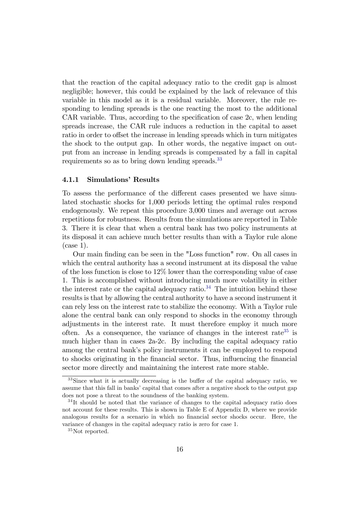that the reaction of the capital adequacy ratio to the credit gap is almost negligible; however, this could be explained by the lack of relevance of this variable in this model as it is a residual variable. Moreover, the rule responding to lending spreads is the one reacting the most to the additional  $CAR$  variable. Thus, according to the specification of case  $2c$ , when lending spreads increase, the CAR rule induces a reduction in the capital to asset ratio in order to offset the increase in lending spreads which in turn mitigates the shock to the output gap. In other words, the negative impact on output from an increase in lending spreads is compensated by a fall in capital requirements so as to bring down lending spreads.<sup>[33](#page-17-0)</sup>

#### 4.1.1 Simulations' Results

To assess the performance of the different cases presented we have simulated stochastic shocks for 1,000 periods letting the optimal rules respond endogenously. We repeat this procedure 3,000 times and average out across repetitions for robustness. Results from the simulations are reported in Table 3. There it is clear that when a central bank has two policy instruments at its disposal it can achieve much better results than with a Taylor rule alone (case 1).

Our main Önding can be seen in the "Loss function" row. On all cases in which the central authority has a second instrument at its disposal the value of the loss function is close to 12% lower than the corresponding value of case 1. This is accomplished without introducing much more volatility in either the interest rate or the capital adequacy ratio. $34$  The intuition behind these results is that by allowing the central authority to have a second instrument it can rely less on the interest rate to stabilize the economy. With a Taylor rule alone the central bank can only respond to shocks in the economy through adjustments in the interest rate. It must therefore employ it much more often. As a consequence, the variance of changes in the interest rate<sup>[35](#page-17-2)</sup> is much higher than in cases 2a-2c. By including the capital adequacy ratio among the central bank's policy instruments it can be employed to respond to shocks originating in the financial sector. Thus, influencing the financial sector more directly and maintaining the interest rate more stable.

<span id="page-17-0"></span> $33\text{S}$  ince what it is actually decreasing is the buffer of the capital adequacy ratio, we assume that this fall in banks' capital that comes after a negative shock to the output gap does not pose a threat to the soundness of the banking system.

<span id="page-17-1"></span><sup>&</sup>lt;sup>34</sup>It should be noted that the variance of changes to the capital adequacy ratio does not account for these results. This is shown in Table E of Appendix D, where we provide analogous results for a scenario in which no financial sector shocks occur. Here, the variance of changes in the capital adequacy ratio is zero for case 1.

<span id="page-17-2"></span><sup>35</sup>Not reported.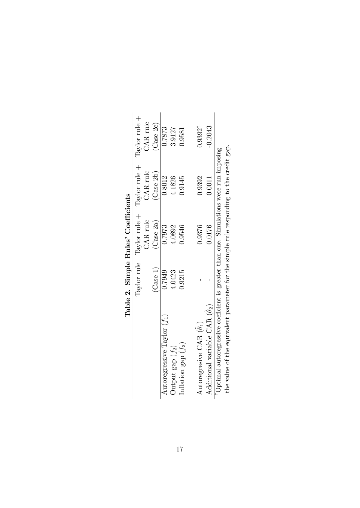|                                                                                         |          | Table 2. Simple Rules' Coefficients |                                                                               |                           |
|-----------------------------------------------------------------------------------------|----------|-------------------------------------|-------------------------------------------------------------------------------|---------------------------|
|                                                                                         |          |                                     | Taylor rule $\Gamma$ aylor rule + $\Gamma$ aylor rule + $\Gamma$ aylor rule + |                           |
|                                                                                         |          | CAR rule                            | CAR rule                                                                      | CAR rule                  |
|                                                                                         | (Case 1) | (Case 2a)                           | Case 2b)                                                                      | $\left($ Case $2c\right)$ |
| Autoregressive Taylor $(f_1)$                                                           | 0.7949   | 0.7973                              | 0.8012                                                                        | 0.7873                    |
| Dutput $\text{gap}(f_2)$                                                                | 4.0423   | 4.0892                              | 4.1826                                                                        | 3.9127                    |
| Inflation gap $(f_3)$                                                                   | 0.9215   | 0.9546                              | 0.9145                                                                        | 1.9581                    |
|                                                                                         |          |                                     |                                                                               |                           |
| Autoregresive CAR $(\theta_1)$                                                          |          | 0.9376                              | 0.9392                                                                        | $0.9392^{\dagger}$        |
| Additional variable CAR $(\tilde{\theta}_2)$                                            |          | 0.0176                              | 0.0011                                                                        | $-0.2043$                 |
| Optimal autoregressive coeficient is greater than one. Simulations were run imposing    |          |                                     |                                                                               |                           |
| the value of the equivalent parameter for the simple rule responding to the credit gap. |          |                                     |                                                                               |                           |

 $\overline{\phantom{a}}$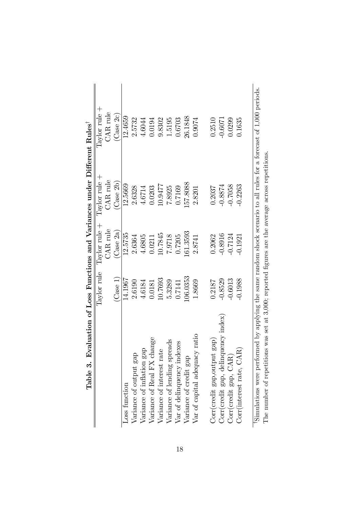| Table 3. Evaluation of Loss Functions and Variances under Different Rules <sup>1</sup>                                        |             |               |                 |                                  |
|-------------------------------------------------------------------------------------------------------------------------------|-------------|---------------|-----------------|----------------------------------|
|                                                                                                                               | Taylor rule | Taylor rule + | Taylor rule $+$ | Taylor rule $+$                  |
|                                                                                                                               |             | CAR rule      | CAR rule        | CAR rule                         |
|                                                                                                                               | (Case 1)    | (Case 2a)     | (Case 2b)       | $\left( \mathrm{Case~2c}\right)$ |
| Loss function                                                                                                                 | 14.1967     | 12.5735       | 12.5669         | 12.4659                          |
| Variance of output gap                                                                                                        | 2.6190      | 2.6364        | 2.6328          | 2.5732                           |
| Variance of inflation gap                                                                                                     | 4.6184      | 4.6805        | 4.6714          | 4.6044                           |
| Variance of Real FX change                                                                                                    | 0.0181      | 0.0211        | 0.0203          | 0.0194                           |
| Variance of interest rate                                                                                                     | 10.7693     | 10.7845       | 10.9477         | 9.8302                           |
| Variance of lending spreads                                                                                                   | 5.3289      | 7.9718        | 7.8925          | 1.5195                           |
| Var of delinquency indexes                                                                                                    | 0.7141      | 0.7205        | 0.7169          | 0.6703                           |
| Variance of credit gap                                                                                                        | 106.0353    | [61.3593      | 157.8088        | 26.1848                          |
| Var of capital adequacy ratio                                                                                                 | 1.8669      | 2.8741        | 2.8201          | 0.9074                           |
| Corr(credit gap, output gap)                                                                                                  | 0.2187      | 0.2062        | 0.2037          | 0.2510                           |
| Corr(credit gap, delinquency index)                                                                                           | $-0.8529$   | $-0.8916$     | $-0.8874$       | $-0.6071$                        |
| Corr(credit gap, CAR)                                                                                                         | $-0.6013$   | $-0.7124$     | $-0.7058$       | 0.0299                           |
| Corr(interest rate, CAR)                                                                                                      | $-0.1988$   | 0.1921        | $-0.2263$       | 0.1635                           |
| $\liminf_{n\to\infty}$ were performed by applying the same random shock scenario to all rules for a forecast of 1.000 periods |             |               |                 |                                  |

18

"Simulations were performed by applying the same random shock scenario to all rules for a forecast of 1,000 periods.<br>The number of repetitions was set at  $3,000$ ; reported figures are the average across repetitions. <sup>†</sup>Simulations were performed by applying the same random shock scenario to all rules for a forecast of 1,000 periods. The number of repetitions was set at 3,000; reported Ögures are the average across repetitions.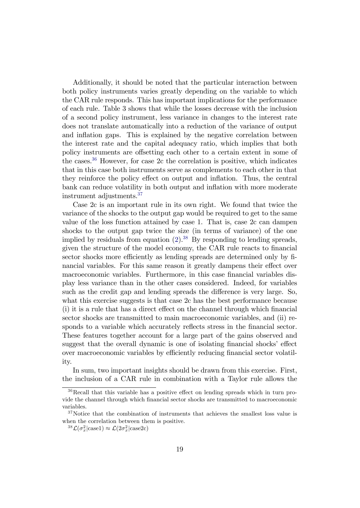Additionally, it should be noted that the particular interaction between both policy instruments varies greatly depending on the variable to which the CAR rule responds. This has important implications for the performance of each rule. Table 3 shows that while the losses decrease with the inclusion of a second policy instrument, less variance in changes to the interest rate does not translate automatically into a reduction of the variance of output and inflation gaps. This is explained by the negative correlation between the interest rate and the capital adequacy ratio, which implies that both policy instruments are offsetting each other to a certain extent in some of the cases.[36](#page-20-0) However, for case 2c the correlation is positive, which indicates that in this case both instruments serve as complements to each other in that they reinforce the policy effect on output and inflation. Thus, the central bank can reduce volatility in both output and inflation with more moderate instrument adjustments.[37](#page-20-1)

Case 2c is an important rule in its own right. We found that twice the variance of the shocks to the output gap would be required to get to the same value of the loss function attained by case 1. That is, case 2c can dampen shocks to the output gap twice the size (in terms of variance) of the one implied by residuals from equation  $(2).^{38}$  $(2).^{38}$  $(2).^{38}$  $(2).^{38}$  By responding to lending spreads, given the structure of the model economy, the CAR rule reacts to financial sector shocks more efficiently as lending spreads are determined only by financial variables. For this same reason it greatly dampens their effect over macroeconomic variables. Furthermore, in this case financial variables display less variance than in the other cases considered. Indeed, for variables such as the credit gap and lending spreads the difference is very large. So, what this exercise suggests is that case 2c has the best performance because  $(i)$  it is a rule that has a direct effect on the channel through which financial sector shocks are transmitted to main macroeconomic variables, and (ii) responds to a variable which accurately reflects stress in the financial sector. These features together account for a large part of the gains observed and suggest that the overall dynamic is one of isolating financial shocks' effect over macroeconomic variables by efficiently reducing financial sector volatility.

In sum, two important insights should be drawn from this exercise. First, the inclusion of a CAR rule in combination with a Taylor rule allows the

<span id="page-20-0"></span> $36$ Recall that this variable has a positive effect on lending spreads which in turn provide the channel through which Önancial sector shocks are transmitted to macroeconomic variables.

<span id="page-20-1"></span><sup>&</sup>lt;sup>37</sup>Notice that the combination of instruments that achieves the smallest loss value is when the correlation between them is positive.

<span id="page-20-2"></span><sup>&</sup>lt;sup>38</sup> $\mathcal{L}(\sigma_x^2|\text{case1}) \approx \mathcal{L}(2\sigma_x^2|\text{case2c})$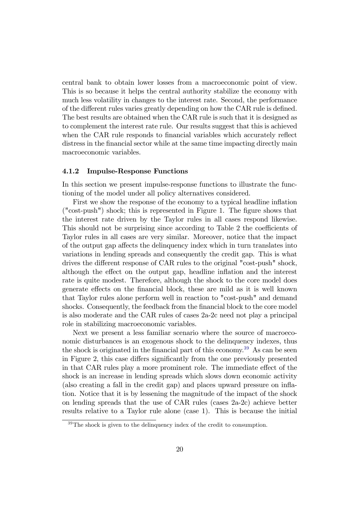central bank to obtain lower losses from a macroeconomic point of view. This is so because it helps the central authority stabilize the economy with much less volatility in changes to the interest rate. Second, the performance of the different rules varies greatly depending on how the CAR rule is defined. The best results are obtained when the CAR rule is such that it is designed as to complement the interest rate rule. Our results suggest that this is achieved when the CAR rule responds to financial variables which accurately reflect distress in the financial sector while at the same time impacting directly main macroeconomic variables.

#### 4.1.2 Impulse-Response Functions

In this section we present impulse-response functions to illustrate the functioning of the model under all policy alternatives considered.

First we show the response of the economy to a typical headline inflation ("cost-push") shock; this is represented in Figure 1. The Ögure shows that the interest rate driven by the Taylor rules in all cases respond likewise. This should not be surprising since according to Table 2 the coefficients of Taylor rules in all cases are very similar. Moreover, notice that the impact of the output gap affects the delinquency index which in turn translates into variations in lending spreads and consequently the credit gap. This is what drives the different response of CAR rules to the original "cost-push" shock, although the effect on the output gap, headline inflation and the interest rate is quite modest. Therefore, although the shock to the core model does generate effects on the financial block, these are mild as it is well known that Taylor rules alone perform well in reaction to "cost-push" and demand shocks. Consequently, the feedback from the financial block to the core model is also moderate and the CAR rules of cases 2a-2c need not play a principal role in stabilizing macroeconomic variables.

Next we present a less familiar scenario where the source of macroeconomic disturbances is an exogenous shock to the delinquency indexes, thus the shock is originated in the financial part of this economy.<sup>[39](#page-21-0)</sup> As can be seen in Figure 2, this case differs significantly from the one previously presented in that CAR rules play a more prominent role. The immediate effect of the shock is an increase in lending spreads which slows down economic activity (also creating a fall in the credit gap) and places upward pressure on inflation. Notice that it is by lessening the magnitude of the impact of the shock on lending spreads that the use of CAR rules (cases 2a-2c) achieve better results relative to a Taylor rule alone (case 1). This is because the initial

<span id="page-21-0"></span> $39$ The shock is given to the delinquency index of the credit to consumption.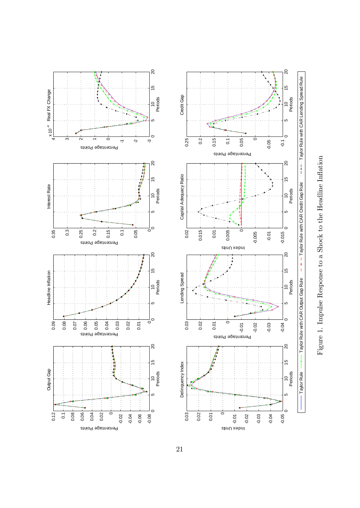



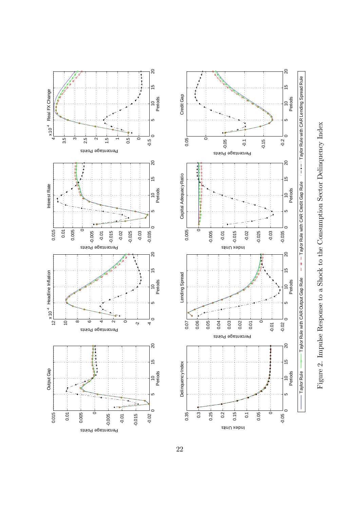



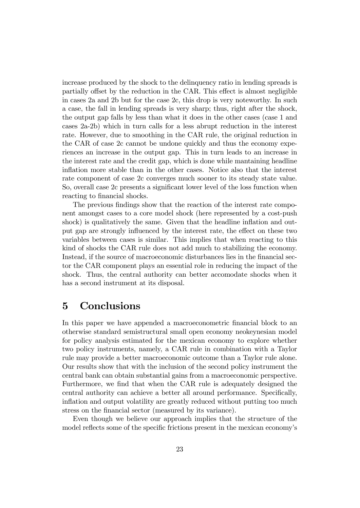increase produced by the shock to the delinquency ratio in lending spreads is partially offset by the reduction in the CAR. This effect is almost negligible in cases 2a and 2b but for the case 2c, this drop is very noteworthy. In such a case, the fall in lending spreads is very sharp; thus, right after the shock, the output gap falls by less than what it does in the other cases (case 1 and cases 2a-2b) which in turn calls for a less abrupt reduction in the interest rate. However, due to smoothing in the CAR rule, the original reduction in the CAR of case 2c cannot be undone quickly and thus the economy experiences an increase in the output gap. This in turn leads to an increase in the interest rate and the credit gap, which is done while mantaining headline inflation more stable than in the other cases. Notice also that the interest rate component of case 2c converges much sooner to its steady state value. So, overall case 2c presents a significant lower level of the loss function when reacting to financial shocks.

The previous findings show that the reaction of the interest rate component amongst cases to a core model shock (here represented by a cost-push shock) is qualitatively the same. Given that the headline inflation and output gap are strongly influenced by the interest rate, the effect on these two variables between cases is similar. This implies that when reacting to this kind of shocks the CAR rule does not add much to stabilizing the economy. Instead, if the source of macroeconomic disturbances lies in the financial sector the CAR component plays an essential role in reducing the impact of the shock. Thus, the central authority can better accomodate shocks when it has a second instrument at its disposal.

### 5 Conclusions

In this paper we have appended a macroeconometric financial block to an otherwise standard semistructural small open economy neokeynesian model for policy analysis estimated for the mexican economy to explore whether two policy instruments, namely, a CAR rule in combination with a Taylor rule may provide a better macroeconomic outcome than a Taylor rule alone. Our results show that with the inclusion of the second policy instrument the central bank can obtain substantial gains from a macroeconomic perspective. Furthermore, we find that when the CAR rule is adequately designed the central authority can achieve a better all around performance. Specifically, inflation and output volatility are greatly reduced without putting too much stress on the financial sector (measured by its variance).

Even though we believe our approach implies that the structure of the model reflects some of the specific frictions present in the mexican economy's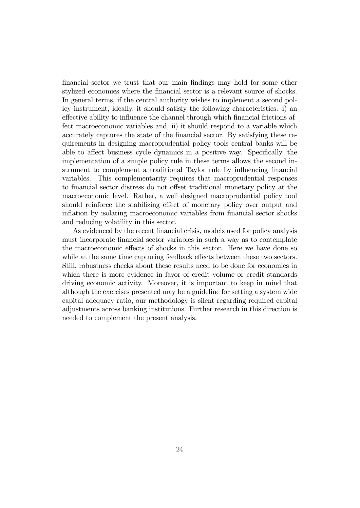Önancial sector we trust that our main Öndings may hold for some other stylized economies where the financial sector is a relevant source of shocks. In general terms, if the central authority wishes to implement a second policy instrument, ideally, it should satisfy the following characteristics: i) an effective ability to influence the channel through which financial frictions affect macroeconomic variables and, ii) it should respond to a variable which accurately captures the state of the financial sector. By satisfying these requirements in designing macroprudential policy tools central banks will be able to affect business cycle dynamics in a positive way. Specifically, the implementation of a simple policy rule in these terms allows the second instrument to complement a traditional Taylor rule by influencing financial variables. This complementarity requires that macroprudential responses to financial sector distress do not offset traditional monetary policy at the macroeconomic level. Rather, a well designed macroprudential policy tool should reinforce the stabilizing effect of monetary policy over output and inflation by isolating macroeconomic variables from financial sector shocks and reducing volatility in this sector.

As evidenced by the recent financial crisis, models used for policy analysis must incorporate financial sector variables in such a way as to contemplate the macroeconomic effects of shocks in this sector. Here we have done so while at the same time capturing feedback effects between these two sectors. Still, robustness checks about these results need to be done for economies in which there is more evidence in favor of credit volume or credit standards driving economic activity. Moreover, it is important to keep in mind that although the exercises presented may be a guideline for setting a system wide capital adequacy ratio, our methodology is silent regarding required capital adjustments across banking institutions. Further research in this direction is needed to complement the present analysis.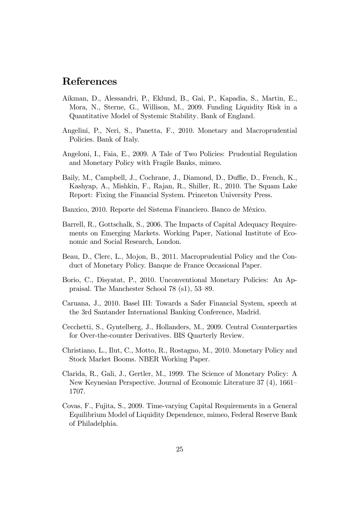## References

- <span id="page-26-8"></span>Aikman, D., Alessandri, P., Eklund, B., Gai, P., Kapadia, S., Martin, E., Mora, N., Sterne, G., Willison, M., 2009. Funding Liquidity Risk in a Quantitative Model of Systemic Stability. Bank of England.
- <span id="page-26-4"></span>Angelini, P., Neri, S., Panetta, F., 2010. Monetary and Macroprudential Policies. Bank of Italy.
- <span id="page-26-7"></span>Angeloni, I., Faia, E., 2009. A Tale of Two Policies: Prudential Regulation and Monetary Policy with Fragile Banks, mimeo.
- <span id="page-26-1"></span>Baily, M., Campbell, J., Cochrane, J., Diamond, D., Duffie, D., French, K., Kashyap, A., Mishkin, F., Rajan, R., Shiller, R., 2010. The Squam Lake Report: Fixing the Financial System. Princeton University Press.
- <span id="page-26-6"></span>Banxico, 2010. Reporte del Sistema Financiero. Banco de MÈxico.
- <span id="page-26-5"></span>Barrell, R., Gottschalk, S., 2006. The Impacts of Capital Adequacy Requirements on Emerging Markets. Working Paper, National Institute of Economic and Social Research, London.
- <span id="page-26-10"></span>Beau, D., Clerc, L., Mojon, B., 2011. Macroprudential Policy and the Conduct of Monetary Policy. Banque de France Occasional Paper.
- <span id="page-26-2"></span>Borio, C., Disyatat, P., 2010. Unconventional Monetary Policies: An Appraisal. The Manchester School  $78$  (s1),  $53-89$ .
- <span id="page-26-0"></span>Caruana, J., 2010. Basel III: Towards a Safer Financial System, speech at the 3rd Santander International Banking Conference, Madrid.
- <span id="page-26-3"></span>Cecchetti, S., Gyntelberg, J., Hollanders, M., 2009. Central Counterparties for Over-the-counter Derivatives. BIS Quarterly Review.
- <span id="page-26-12"></span>Christiano, L., Ilut, C., Motto, R., Rostagno, M., 2010. Monetary Policy and Stock Market Booms. NBER Working Paper.
- <span id="page-26-11"></span>Clarida, R., Gali, J., Gertler, M., 1999. The Science of Monetary Policy: A New Keynesian Perspective. Journal of Economic Literature 37 (4), 1661– 1707.
- <span id="page-26-9"></span>Covas, F., Fujita, S., 2009. Time-varying Capital Requirements in a General Equilibrium Model of Liquidity Dependence, mimeo, Federal Reserve Bank of Philadelphia.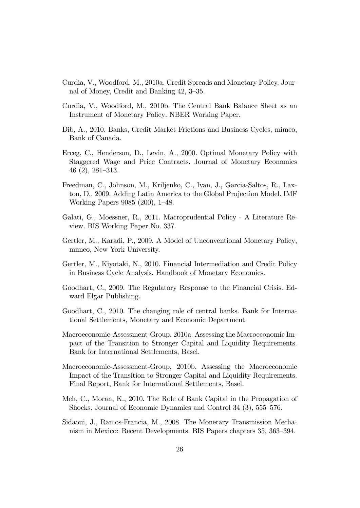- <span id="page-27-2"></span>Curdia, V., Woodford, M., 2010a. Credit Spreads and Monetary Policy. Journal of Money, Credit and Banking 42, 3–35.
- <span id="page-27-3"></span>Curdia, V., Woodford, M., 2010b. The Central Bank Balance Sheet as an Instrument of Monetary Policy. NBER Working Paper.
- <span id="page-27-6"></span>Dib, A., 2010. Banks, Credit Market Frictions and Business Cycles, mimeo, Bank of Canada.
- <span id="page-27-10"></span>Erceg, C., Henderson, D., Levin, A., 2000. Optimal Monetary Policy with Staggered Wage and Price Contracts. Journal of Monetary Economics  $46(2), 281-313.$
- <span id="page-27-8"></span>Freedman, C., Johnson, M., Kriljenko, C., Ivan, J., Garcia-Saltos, R., Laxton, D., 2009. Adding Latin America to the Global Projection Model. IMF Working Papers 9085 (200), 1–48.
- <span id="page-27-0"></span>Galati, G., Moessner, R., 2011. Macroprudential Policy - A Literature Review. BIS Working Paper No. 337.
- <span id="page-27-4"></span>Gertler, M., Karadi, P., 2009. A Model of Unconventional Monetary Policy, mimeo, New York University.
- <span id="page-27-5"></span>Gertler, M., Kiyotaki, N., 2010. Financial Intermediation and Credit Policy in Business Cycle Analysis. Handbook of Monetary Economics.
- <span id="page-27-11"></span>Goodhart, C., 2009. The Regulatory Response to the Financial Crisis. Edward Elgar Publishing.
- Goodhart, C., 2010. The changing role of central banks. Bank for International Settlements, Monetary and Economic Department.
- <span id="page-27-1"></span>Macroeconomic-Assessment-Group, 2010a. Assessing the Macroeconomic Impact of the Transition to Stronger Capital and Liquidity Requirements. Bank for International Settlements, Basel.
- <span id="page-27-12"></span>Macroeconomic-Assessment-Group, 2010b. Assessing the Macroeconomic Impact of the Transition to Stronger Capital and Liquidity Requirements. Final Report, Bank for International Settlements, Basel.
- <span id="page-27-7"></span>Meh, C., Moran, K., 2010. The Role of Bank Capital in the Propagation of Shocks. Journal of Economic Dynamics and Control  $34$   $(3)$ ,  $555-576$ .
- <span id="page-27-9"></span>Sidaoui, J., Ramos-Francia, M., 2008. The Monetary Transmission Mechanism in Mexico: Recent Developments. BIS Papers chapters 35, 363–394.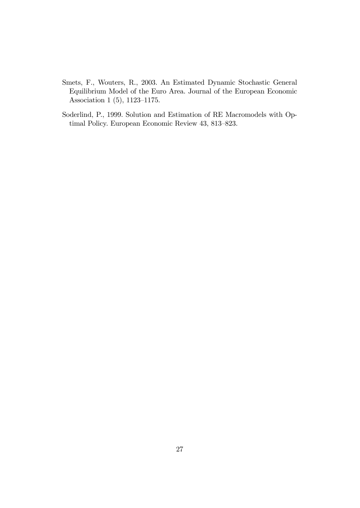- <span id="page-28-0"></span>Smets, F., Wouters, R., 2003. An Estimated Dynamic Stochastic General Equilibrium Model of the Euro Area. Journal of the European Economic Association 1 $(5)$ , 1123-1175.
- <span id="page-28-1"></span>Soderlind, P., 1999. Solution and Estimation of RE Macromodels with Optimal Policy. European Economic Review 43, 813-823.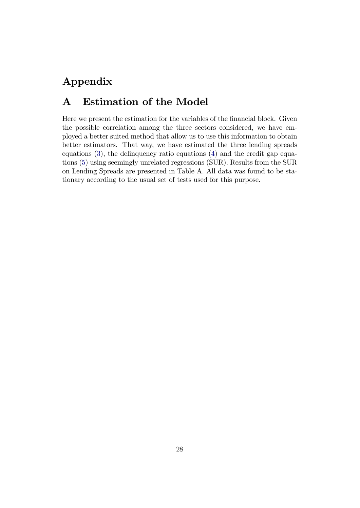# Appendix

# A Estimation of the Model

Here we present the estimation for the variables of the financial block. Given the possible correlation among the three sectors considered, we have employed a better suited method that allow us to use this information to obtain better estimators. That way, we have estimated the three lending spreads equations [\(3\)](#page-9-2), the delinquency ratio equations [\(4\)](#page-10-1) and the credit gap equations [\(5\)](#page-10-2) using seemingly unrelated regressions (SUR). Results from the SUR on Lending Spreads are presented in Table A. All data was found to be stationary according to the usual set of tests used for this purpose.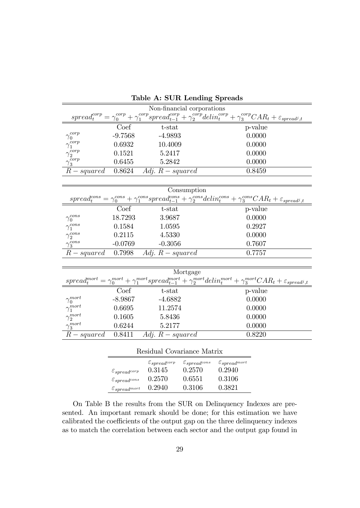|                                           |                                             |                               | Non-financial corporations                              |        |                                                                                                                                                                               |
|-------------------------------------------|---------------------------------------------|-------------------------------|---------------------------------------------------------|--------|-------------------------------------------------------------------------------------------------------------------------------------------------------------------------------|
|                                           |                                             |                               |                                                         |        | $spread^{corp}_{t} = \gamma^{corp}_{0} + \gamma^{corp}_{1} spread^{corp}_{t-1} + \gamma^{corp}_{2}delin^{corp}_{t} + \gamma^{corp}_{3} CAR_{t} + \varepsilon_{spread^{j}, t}$ |
|                                           | Coef                                        | t-stat                        |                                                         |        | p-value                                                                                                                                                                       |
| corp<br>$\gamma_0$                        | $-9.7568$                                   | -4.9893                       |                                                         |        | 0.0000                                                                                                                                                                        |
| $\gamma_1^{corp}$                         | 0.6932                                      | 10.4009                       |                                                         |        | 0.0000                                                                                                                                                                        |
|                                           | 0.1521                                      | 5.2417                        |                                                         |        | 0.0000                                                                                                                                                                        |
| $\frac{\gamma_2^{corp}}{\gamma_3^{corp}}$ | 0.6455                                      | 5.2842                        |                                                         |        | 0.0000                                                                                                                                                                        |
| $R-squared$                               | 0.8624                                      | Adj. $R$ – squared            |                                                         |        | 0.8459                                                                                                                                                                        |
|                                           |                                             |                               |                                                         |        |                                                                                                                                                                               |
|                                           |                                             |                               | Consumption                                             |        |                                                                                                                                                                               |
|                                           |                                             |                               |                                                         |        | $spread^{cons}_t = \gamma^{cons}_0 + \gamma^{cons}_1 spread^{cons}_{t-1} + \gamma^{cons}_2delin^{cons}_t + \gamma^{cons}_3 CAR_t + \varepsilon_{spread^j,t}$                  |
|                                           | Coef                                        | t-stat                        |                                                         |        | p-value                                                                                                                                                                       |
| $\gamma_0^{cons}$                         | 18.7293                                     | 3.9687                        |                                                         |        | 0.0000                                                                                                                                                                        |
| $\gamma_1^{cons}$                         | 0.1584                                      | 1.0595                        |                                                         |        | 0.2927                                                                                                                                                                        |
| $\gamma_2^{cons}$                         | 0.2115                                      | 4.5330                        |                                                         |        | 0.0000                                                                                                                                                                        |
| $\gamma_3^{cons}$                         | $-0.0769$                                   | $-0.3056$                     |                                                         |        | 0.7607                                                                                                                                                                        |
| $R-squared$                               | 0.7998                                      | Adj. $R$ – squared            |                                                         |        | 0.7757                                                                                                                                                                        |
|                                           |                                             |                               |                                                         |        |                                                                                                                                                                               |
|                                           |                                             |                               | Mortgage                                                |        |                                                                                                                                                                               |
|                                           |                                             |                               |                                                         |        | $spread^{mort}_t = \gamma^{mort}_0 + \gamma^{mort}_1 spread^{mort}_{t-1} + \gamma^{mort}_2delin^{mort}_t + \gamma^{mort}_3 CAR_t + \varepsilon_{spread^j,t}$                  |
|                                           | $\overline{\mathrm{Coef}}$                  | t-stat                        |                                                         |        | p-value                                                                                                                                                                       |
| $\gamma_0^{mort}$                         | $-8.9867$                                   | $-4.6882$                     |                                                         |        | 0.0000                                                                                                                                                                        |
| $\gamma_1^{mort}$                         | 0.6695                                      | 11.2574                       |                                                         |        | 0.0000                                                                                                                                                                        |
| $\gamma_2^{mort}$                         | 0.1605                                      | 5.8436                        |                                                         |        | 0.0000                                                                                                                                                                        |
| $\gamma_3^{mort}$                         | 0.6244                                      | 5.2177                        |                                                         |        | 0.0000                                                                                                                                                                        |
| $R-squared$ 0.8411                        |                                             | Adj. $R$ – squared            |                                                         |        | 0.8220                                                                                                                                                                        |
|                                           |                                             |                               |                                                         |        |                                                                                                                                                                               |
|                                           |                                             | Residual Covariance Matrix    |                                                         |        |                                                                                                                                                                               |
|                                           |                                             | $\varepsilon_{spread^{corp}}$ | $\varepsilon_{spread}$ cons $\varepsilon_{spread}$ mort |        |                                                                                                                                                                               |
|                                           | $\varepsilon_{spread^{corp}}$               | 0.3145                        | 0.2570                                                  | 0.2940 |                                                                                                                                                                               |
|                                           | $\varepsilon_{spread}$                      | 0.2570                        | 0.6551                                                  | 0.3106 |                                                                                                                                                                               |
|                                           | $\varepsilon_{spread}^{\varepsilon_{mort}}$ | 0.2940                        | 0.3106                                                  | 0.3821 |                                                                                                                                                                               |

Table A: SUR Lending Spreads

On Table B the results from the SUR on Delinquency Indexes are presented. An important remark should be done; for this estimation we have calibrated the coefficients of the output gap on the three delinquency indexes as to match the correlation between each sector and the output gap found in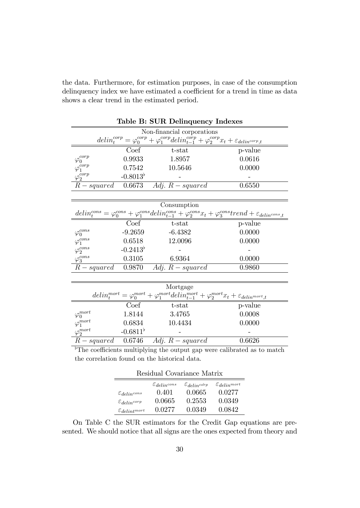the data. Furthermore, for estimation purposes, in case of the consumption delinquency index we have estimated a coefficient for a trend in time as data shows a clear trend in the estimated period.

|                                           |                   | rable <b>D:</b> SUR Definquency indexes                                                                                       |                                                                                                                                                       |
|-------------------------------------------|-------------------|-------------------------------------------------------------------------------------------------------------------------------|-------------------------------------------------------------------------------------------------------------------------------------------------------|
|                                           |                   | Non-financial corporations                                                                                                    |                                                                                                                                                       |
|                                           |                   | $delin_t^{corp} = \varphi_0^{corp} + \varphi_1^{corp}delin_{t-1}^{corp} + \varphi_2^{corp}x_t + \varepsilon_{delin^{corp},t}$ |                                                                                                                                                       |
|                                           | Coef              | $t$ -stat                                                                                                                     | p-value                                                                                                                                               |
|                                           | 0.9933            | 1.8957                                                                                                                        | 0.0616                                                                                                                                                |
| $\varphi^{corp}_{0} \ \varphi^{corp}_{1}$ | 0.7542            | 10.5646                                                                                                                       | 0.0000                                                                                                                                                |
| $\varphi_2^{corp}$                        | $-0.8013^{\circ}$ |                                                                                                                               |                                                                                                                                                       |
|                                           |                   | $R-squared$ 0.6673 Adj. $R-squared$                                                                                           | 0.6550                                                                                                                                                |
|                                           |                   |                                                                                                                               |                                                                                                                                                       |
|                                           |                   | Consumption                                                                                                                   |                                                                                                                                                       |
|                                           |                   |                                                                                                                               | $delin_t^{cons} = \varphi_0^{cons} + \varphi_1^{cons}delin_{t-1}^{cons} + \varphi_2^{cons}x_t + \varphi_3^{cons}trend + \varepsilon_{delin^{cons},t}$ |
|                                           | Coef              | $t$ -stat                                                                                                                     | p-value                                                                                                                                               |
| $\varphi_0^{cons}$                        | $-9.2659$         | $-6.4382$                                                                                                                     | 0.0000                                                                                                                                                |
| $\varphi_1^{cons}$                        | 0.6518            | 12.0096                                                                                                                       | 0.0000                                                                                                                                                |
| $\varphi_2^{cons}$                        | $-0.2413^{\circ}$ |                                                                                                                               |                                                                                                                                                       |
| $\varphi_3^{cons}$                        | 0.3105            | 6.9364                                                                                                                        | 0.0000                                                                                                                                                |
| $R-squared$                               |                   | 0.9870 $Adj. R-squared$                                                                                                       | 0.9860                                                                                                                                                |
|                                           |                   |                                                                                                                               |                                                                                                                                                       |
|                                           |                   | Mortgage                                                                                                                      |                                                                                                                                                       |
|                                           |                   | $delin_t^{mort} = \varphi_0^{mort} + \varphi_1^{mort}delin_{t-1}^{mort} + \varphi_2^{mort}x_t + \varepsilon_{delin^{mort},t}$ |                                                                                                                                                       |
|                                           | Coef              | $t$ -stat                                                                                                                     | p-value                                                                                                                                               |
|                                           | 1.8144            | 3.4765                                                                                                                        | 0.0008                                                                                                                                                |
| $\varphi_0^{mort} \\ \varphi_1^{mort}$    | 0.6834            | 10.4434                                                                                                                       | 0.0000                                                                                                                                                |
| $\varphi_2^{mort}$                        | $-0.6811^{\circ}$ |                                                                                                                               |                                                                                                                                                       |
|                                           |                   | $R-squared$ 0.6746 Adj. $R-squared$                                                                                           | 0.6626                                                                                                                                                |

Table B: SUR Delinquency Indexes

| <sup>b</sup> The coefficients multiplying the output gap were calibrated as to match |  |  |  |
|--------------------------------------------------------------------------------------|--|--|--|
| the correlation found on the historical data.                                        |  |  |  |

|                              | Residual Covariance Matrix |                            |                            |
|------------------------------|----------------------------|----------------------------|----------------------------|
|                              | $\varepsilon_{delin}$ cons | $\varepsilon_{delin}$ córp | $\mathcal{E}_{delin}$ mort |
| $\mathcal{E}_{delin}$ cons   | 0.401                      | 0.0665                     | 0.0277                     |
| $\varepsilon_{delin^{corp}}$ | 0.0665                     | 0.2553                     | 0.0349                     |
| $\epsilon_{delint^{mort}}$   | 0.0277                     | 0.0349                     | 0.0842                     |

On Table C the SUR estimators for the Credit Gap equations are presented. We should notice that all signs are the ones expected from theory and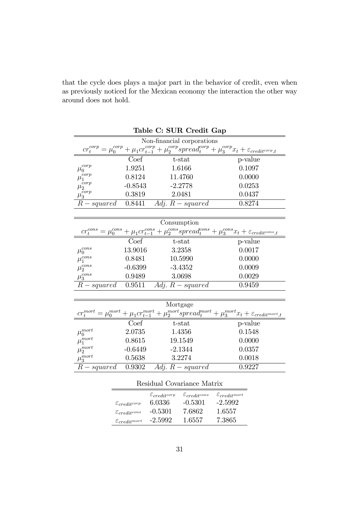| that the cycle does plays a major part in the behavior of credit, even when |
|-----------------------------------------------------------------------------|
| as previously noticed for the Mexican economy the interaction the other way |
| around does not hold.                                                       |

|                                      |                               | Table C: SUR Credit Gap       |                                                                                                                                        |
|--------------------------------------|-------------------------------|-------------------------------|----------------------------------------------------------------------------------------------------------------------------------------|
|                                      |                               | Non-financial corporations    |                                                                                                                                        |
|                                      |                               |                               | $cr_t^{corp} = \mu_0^{corp} + \mu_1 cr_{t-1}^{corp} + \mu_2^{corp} spread_t^{corp} + \mu_3^{corp} x_t + \varepsilon_{credit^{corp},t}$ |
|                                      | Coef                          | t-stat                        | p-value                                                                                                                                |
| corp<br>$\mu_{0}$                    | 1.9251                        | 1.6166                        | 0.1097                                                                                                                                 |
| $\operatorname{corr} p$<br>$\mu_{1}$ | 0.8124                        | 11.4760                       | 0.0000                                                                                                                                 |
| $\mu^{corp}_2$                       | $-0.8543$                     | $-2.2778$                     | 0.0253                                                                                                                                 |
| $\mu_3^{corp}$                       | 0.3819                        | 2.0481                        | 0.0437                                                                                                                                 |
| $R-squared$                          | 0.8441                        | Adj. $R$ – squared            | 0.8274                                                                                                                                 |
|                                      |                               |                               |                                                                                                                                        |
|                                      |                               | Consumption                   |                                                                                                                                        |
|                                      |                               |                               | $cr_t^{cons} = \mu_0^{cons} + \mu_1 cr_{t-1}^{cons} + \mu_2^{cons} spread_t^{cons} + \mu_3^{cons}x_t + \varepsilon_{credit^{cons},t}$  |
|                                      | Coef                          | t-stat                        | p-value                                                                                                                                |
| $\mu_0^{cons}$                       | 13.9016                       | 3.2358                        | 0.0017                                                                                                                                 |
| $\mu_1^{cons}$                       | 0.8481                        | 10.5990                       | 0.0000                                                                                                                                 |
| $\mu_2^{cons}$                       | $-0.6399$                     | $-3.4352$                     | 0.0009                                                                                                                                 |
| $\mu_3^{cons}$                       | 0.9489                        | 3.0698                        | 0.0029                                                                                                                                 |
| $R-squared$                          | 0.9511                        | Adj. $R$ – squared            | 0.9459                                                                                                                                 |
|                                      |                               |                               |                                                                                                                                        |
|                                      |                               | Mortgage                      |                                                                                                                                        |
|                                      |                               |                               | $cr_t^{mort} = \mu_0^{mort} + \mu_1 cr_{t-1}^{mort} + \mu_2^{mort} spread_t^{mort} + \mu_3^{mort} x_t + \varepsilon_{credit^{mort},t}$ |
|                                      | Coef                          | t-stat                        | p-value                                                                                                                                |
| $\mu_0^{mort}$                       | 2.0735                        | 1.4356                        | 0.1548                                                                                                                                 |
| $\mu_1^{mort}$                       | 0.8615                        | 19.1549                       | 0.0000                                                                                                                                 |
| $\mu_2^{mort}$                       | $-0.6449$                     | $-2.1344$                     | 0.0357                                                                                                                                 |
| $\mu_3^{mort}$                       | 0.5638                        | 3.2274                        | 0.0018                                                                                                                                 |
| $R-squared$                          | 0.9302                        | $\overline{Adj}. R-squared$   | 0.9227                                                                                                                                 |
|                                      |                               |                               |                                                                                                                                        |
|                                      |                               | Residual Covariance Matrix    |                                                                                                                                        |
|                                      |                               | $\varepsilon_{credit^{corr}}$ | $\varepsilon_{credit}$ cons $\varepsilon_{credit}$                                                                                     |
|                                      | $\varepsilon_{credit^{corp}}$ | 6.0336<br>$-0.5301$           | $-2.5992$                                                                                                                              |
|                                      | $\varepsilon_{credit}$        | $-0.5301$<br>7.6862           | 1.6557                                                                                                                                 |
|                                      | $\varepsilon_{credit}$        | $-2.5992$<br>1.6557           | 7.3865                                                                                                                                 |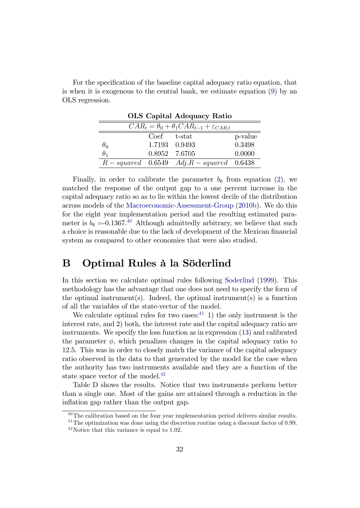| For the specification of the baseline capital adequacy ratio equation, that   |  |
|-------------------------------------------------------------------------------|--|
| is when it is exogenous to the central bank, we estimate equation $(9)$ by an |  |
| OLS regression.                                                               |  |

|            |                 | <b>OLS</b> Capital Adequacy Ratio                             |         |
|------------|-----------------|---------------------------------------------------------------|---------|
|            |                 | $CAR_t = \theta_0 + \theta_1 CAR_{t-1} + \varepsilon_{CAR,t}$ |         |
|            | $Coef$ $t-stat$ |                                                               | p-value |
| $\theta_0$ |                 | 1.7193 0.9493                                                 | 0.3498  |
| $\theta_1$ |                 | 0.8952 7.6705                                                 | 0.0000  |
|            |                 | $R-squared$ 0.6549 $Adj.R-squared$ 0.6438                     |         |

Finally, in order to calibrate the parameter  $b_6$  from equation [\(2\)](#page-8-2), we matched the response of the output gap to a one percent increase in the capital adequacy ratio so as to lie within the lowest decile of the distribution across models of the [Macroeconomic-Assessment-Group](#page-27-12) [\(2010b\)](#page-27-12). We do this for the eight year implementation period and the resulting estimated parameter is  $b_6 = 0.1367^{40}$  $b_6 = 0.1367^{40}$  $b_6 = 0.1367^{40}$  Although admittedly arbitrary, we believe that such a choice is reasonable due to the lack of development of the Mexican financial system as compared to other economies that were also studied.

## B Optimal Rules à la Söderlind

In this section we calculate optimal rules following [Soderlind](#page-28-1) [\(1999\)](#page-28-1). This methodology has the advantage that one does not need to specify the form of the optimal instrument(s). Indeed, the optimal instrument(s) is a function of all the variables of the state-vector of the model.

We calculate optimal rules for two cases: $^{41}$  $^{41}$  $^{41}$  1) the only instrument is the interest rate, and 2) both, the interest rate and the capital adequacy ratio are instruments. We specify the loss function as in expression [\(13\)](#page-16-4) and calibrated the parameter  $\phi$ , which penalizes changes in the capital adequacy ratio to 12.5. This was in order to closely match the variance of the capital adequacy ratio observed in the data to that generated by the model for the case when the authority has two instruments available and they are a function of the state space vector of the model.<sup>[42](#page-33-2)</sup>

Table D shows the results. Notice that two instruments perform better than a single one. Most of the gains are attained through a reduction in the inflation gap rather than the output gap.

<span id="page-33-0"></span><sup>&</sup>lt;sup>40</sup>The calibration based on the four year implementation period delivers similar results.

<span id="page-33-1"></span><sup>&</sup>lt;sup>41</sup>The optimization was done using the discretion routine using a discount factor of 0.99.

<span id="page-33-2"></span><sup>42</sup>Notice that this variance is equal to 1.02.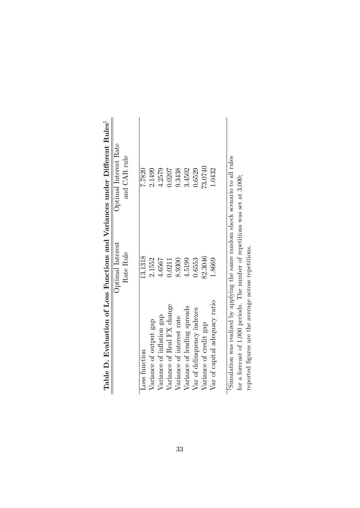|                                                                                              |                  | Table D. Evaluation of Loss Functions and Variances under Different Rules <sup>1</sup> |
|----------------------------------------------------------------------------------------------|------------------|----------------------------------------------------------------------------------------|
|                                                                                              | Optimal Interest | Optimal Interest Rate                                                                  |
|                                                                                              | Rate Rule        | and CAR rule                                                                           |
| Loss function                                                                                | 13.1318          | 7.7820                                                                                 |
| Variance of output gap                                                                       | 2.1552           | 2.1499                                                                                 |
| Variance of inflation gap                                                                    | 4.6567           | 4.2579                                                                                 |
| Variance of Real FX change                                                                   | 0.0211           | 0.0207                                                                                 |
| Variance of interest rate                                                                    | 8.9300           | 9.3438                                                                                 |
| Variance of lending spreads                                                                  | 4.5199           | 3.4502                                                                                 |
| Var of delinquency indexes                                                                   | 0.6553           | 0.6529                                                                                 |
| Variance of credit gap                                                                       | 82.3046          | 73.0740                                                                                |
| Var of capital adequacy ratio                                                                | 1.8669           | 1.0432                                                                                 |
|                                                                                              |                  |                                                                                        |
| <sup>1</sup> Simulation was realized by applying the same random shock scenario to all rules |                  |                                                                                        |
| for a forecast of 1,000 periods. The number of repetitions was set at $3,000$ ;              |                  |                                                                                        |

reported Ögures are the average across repetitions.

reported figures are the average across repetitions.

| monno Trantin<br>$\frac{5}{3}$                                                                                                                   |  |
|--------------------------------------------------------------------------------------------------------------------------------------------------|--|
|                                                                                                                                                  |  |
|                                                                                                                                                  |  |
|                                                                                                                                                  |  |
|                                                                                                                                                  |  |
|                                                                                                                                                  |  |
| lable D. Evaluation of Loss Functions and Variances under Differen<br>$\overline{L}$ $\overline{L}$ $\overline{L}$ $\overline{L}$ $\overline{L}$ |  |
|                                                                                                                                                  |  |
|                                                                                                                                                  |  |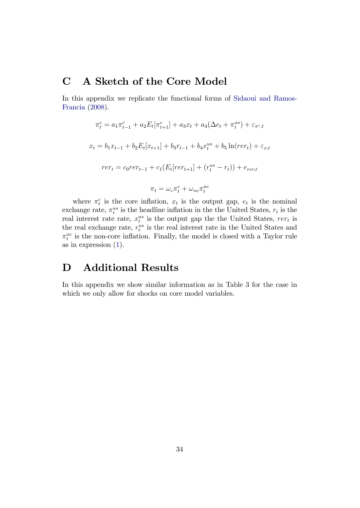# C A Sketch of the Core Model

In this appendix we replicate the functional forms of [Sidaoui and Ramos-](#page-27-9)[Francia](#page-27-9) [\(2008\)](#page-27-9).

$$
\pi_t^c = a_1 \pi_{t-1}^c + a_2 E_t[\pi_{t+1}^c] + a_3 x_t + a_4 (\Delta e_t + \pi_t^{us}) + \varepsilon_{\pi^c, t}
$$
  

$$
x_t = b_1 x_{t-1} + b_2 E_t[x_{t+1}] + b_3 r_{t-1} + b_4 x_t^{us} + b_5 \ln(r e_t) + \varepsilon_{x,t}
$$
  

$$
r e_t = c_0 r e_t - t_1 + c_1 (E_t[r e_t] + (r_t^{us} - r_t)) + e_{r e_t}
$$
  

$$
\pi_t = \omega_c \pi_t^c + \omega_{nc} \pi_t^{nc}
$$

where  $\pi_t^c$  is the core inflation,  $x_t$  is the output gap,  $e_t$  is the nominal exchange rate,  $\pi_t^{us}$  is the headline inflation in the the United States,  $r_t$  is the real interest rate rate,  $x_t^{us}$  is the output gap the the United States,  $rer_t$  is the real exchange rate,  $r_t^{us}$  is the real interest rate in the United States and  $\pi_t^{nc}$  is the non-core inflation. Finally, the model is closed with a Taylor rule as in expression [\(1\)](#page-7-1).

# D Additional Results

In this appendix we show similar information as in Table 3 for the case in which we only allow for shocks on core model variables.